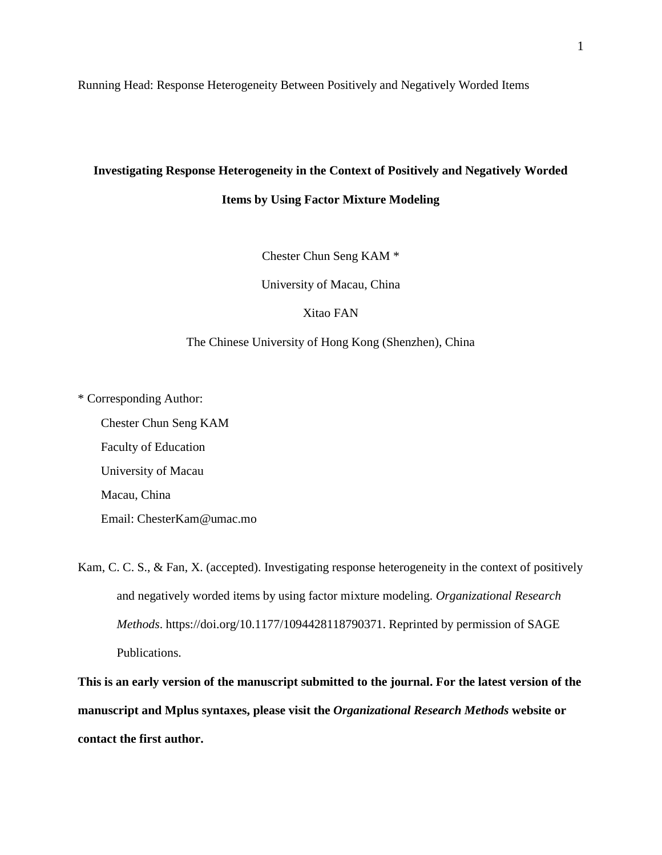Running Head: Response Heterogeneity Between Positively and Negatively Worded Items

# **Investigating Response Heterogeneity in the Context of Positively and Negatively Worded Items by Using Factor Mixture Modeling**

Chester Chun Seng KAM \*

University of Macau, China

Xitao FAN

# The Chinese University of Hong Kong (Shenzhen), China

\* Corresponding Author:

Chester Chun Seng KAM Faculty of Education University of Macau Macau, China Email: [ChesterKam@umac.mo](mailto:ChesterKam@umac.mo)

Kam, C. C. S., & Fan, X. (accepted). Investigating response heterogeneity in the context of positively and negatively worded items by using factor mixture modeling. *Organizational Research Methods*. https://doi.org/10.1177/1094428118790371. Reprinted by permission of SAGE Publications.

**This is an early version of the manuscript submitted to the journal. For the latest version of the manuscript and Mplus syntaxes, please visit the** *Organizational Research Methods* **website or contact the first author.**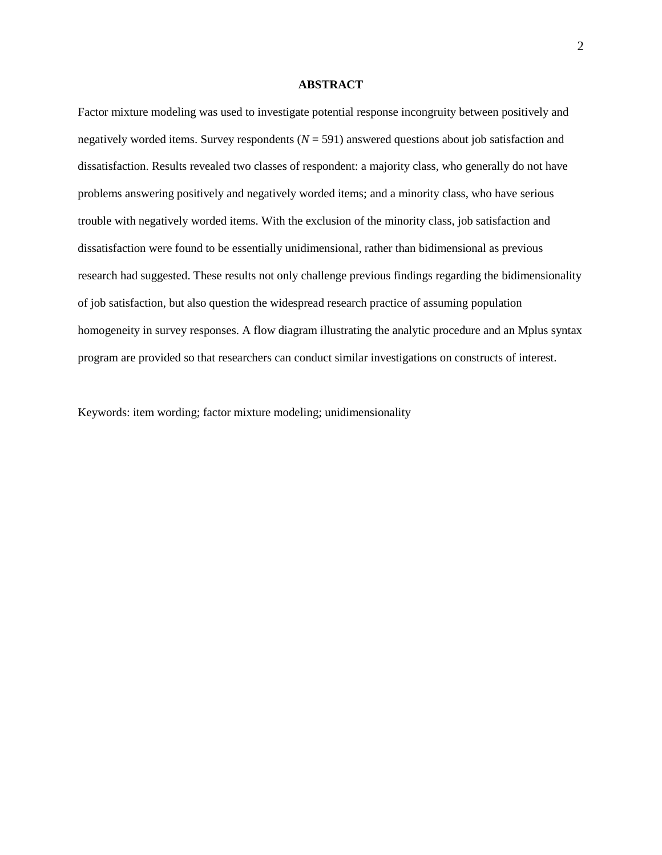### **ABSTRACT**

Factor mixture modeling was used to investigate potential response incongruity between positively and negatively worded items. Survey respondents (*N* = 591) answered questions about job satisfaction and dissatisfaction. Results revealed two classes of respondent: a majority class, who generally do not have problems answering positively and negatively worded items; and a minority class, who have serious trouble with negatively worded items. With the exclusion of the minority class, job satisfaction and dissatisfaction were found to be essentially unidimensional, rather than bidimensional as previous research had suggested. These results not only challenge previous findings regarding the bidimensionality of job satisfaction, but also question the widespread research practice of assuming population homogeneity in survey responses. A flow diagram illustrating the analytic procedure and an Mplus syntax program are provided so that researchers can conduct similar investigations on constructs of interest.

Keywords: item wording; factor mixture modeling; unidimensionality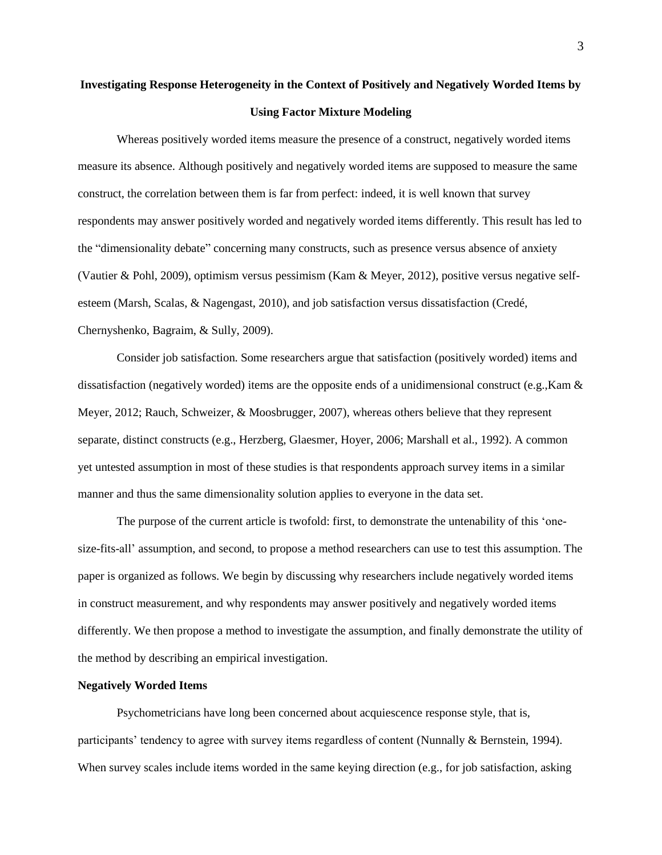# **Investigating Response Heterogeneity in the Context of Positively and Negatively Worded Items by Using Factor Mixture Modeling**

Whereas positively worded items measure the presence of a construct, negatively worded items measure its absence. Although positively and negatively worded items are supposed to measure the same construct, the correlation between them is far from perfect: indeed, it is well known that survey respondents may answer positively worded and negatively worded items differently. This result has led to the "dimensionality debate" concerning many constructs, such as presence versus absence of anxiety (Vautier & Pohl, 2009), optimism versus pessimism (Kam & Meyer, 2012), positive versus negative selfesteem (Marsh, Scalas, & Nagengast, 2010), and job satisfaction versus dissatisfaction (Credé, Chernyshenko, Bagraim, & Sully, 2009).

Consider job satisfaction. Some researchers argue that satisfaction (positively worded) items and dissatisfaction (negatively worded) items are the opposite ends of a unidimensional construct (e.g.,Kam & Meyer, 2012; Rauch, Schweizer, & Moosbrugger, 2007), whereas others believe that they represent separate, distinct constructs (e.g., Herzberg, Glaesmer, Hoyer, 2006; Marshall et al., 1992). A common yet untested assumption in most of these studies is that respondents approach survey items in a similar manner and thus the same dimensionality solution applies to everyone in the data set.

The purpose of the current article is twofold: first, to demonstrate the untenability of this 'onesize-fits-all' assumption, and second, to propose a method researchers can use to test this assumption. The paper is organized as follows. We begin by discussing why researchers include negatively worded items in construct measurement, and why respondents may answer positively and negatively worded items differently. We then propose a method to investigate the assumption, and finally demonstrate the utility of the method by describing an empirical investigation.

## **Negatively Worded Items**

Psychometricians have long been concerned about acquiescence response style, that is, participants' tendency to agree with survey items regardless of content (Nunnally & Bernstein, 1994). When survey scales include items worded in the same keying direction (e.g., for job satisfaction, asking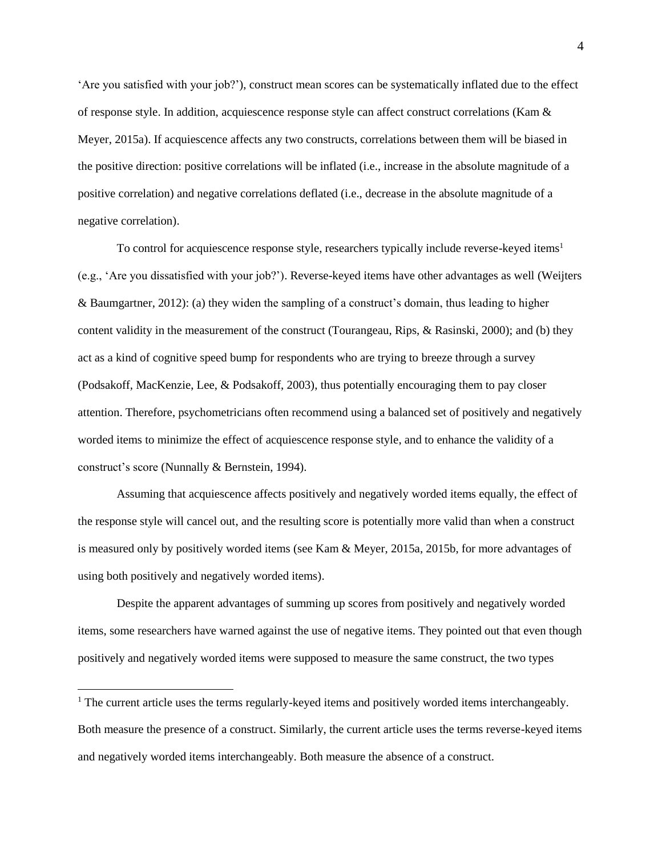'Are you satisfied with your job?'), construct mean scores can be systematically inflated due to the effect of response style. In addition, acquiescence response style can affect construct correlations (Kam & Meyer, 2015a). If acquiescence affects any two constructs, correlations between them will be biased in the positive direction: positive correlations will be inflated (i.e., increase in the absolute magnitude of a positive correlation) and negative correlations deflated (i.e., decrease in the absolute magnitude of a negative correlation).

To control for acquiescence response style, researchers typically include reverse-keyed items<sup>1</sup> (e.g., 'Are you dissatisfied with your job?'). Reverse-keyed items have other advantages as well (Weijters & Baumgartner, 2012): (a) they widen the sampling of a construct's domain, thus leading to higher content validity in the measurement of the construct (Tourangeau, Rips, & Rasinski, 2000); and (b) they act as a kind of cognitive speed bump for respondents who are trying to breeze through a survey (Podsakoff, MacKenzie, Lee, & Podsakoff, 2003), thus potentially encouraging them to pay closer attention. Therefore, psychometricians often recommend using a balanced set of positively and negatively worded items to minimize the effect of acquiescence response style, and to enhance the validity of a construct's score (Nunnally & Bernstein, 1994).

Assuming that acquiescence affects positively and negatively worded items equally, the effect of the response style will cancel out, and the resulting score is potentially more valid than when a construct is measured only by positively worded items (see Kam & Meyer, 2015a, 2015b, for more advantages of using both positively and negatively worded items).

Despite the apparent advantages of summing up scores from positively and negatively worded items, some researchers have warned against the use of negative items. They pointed out that even though positively and negatively worded items were supposed to measure the same construct, the two types

 $\overline{a}$ 

<sup>&</sup>lt;sup>1</sup> The current article uses the terms regularly-keyed items and positively worded items interchangeably. Both measure the presence of a construct. Similarly, the current article uses the terms reverse-keyed items and negatively worded items interchangeably. Both measure the absence of a construct.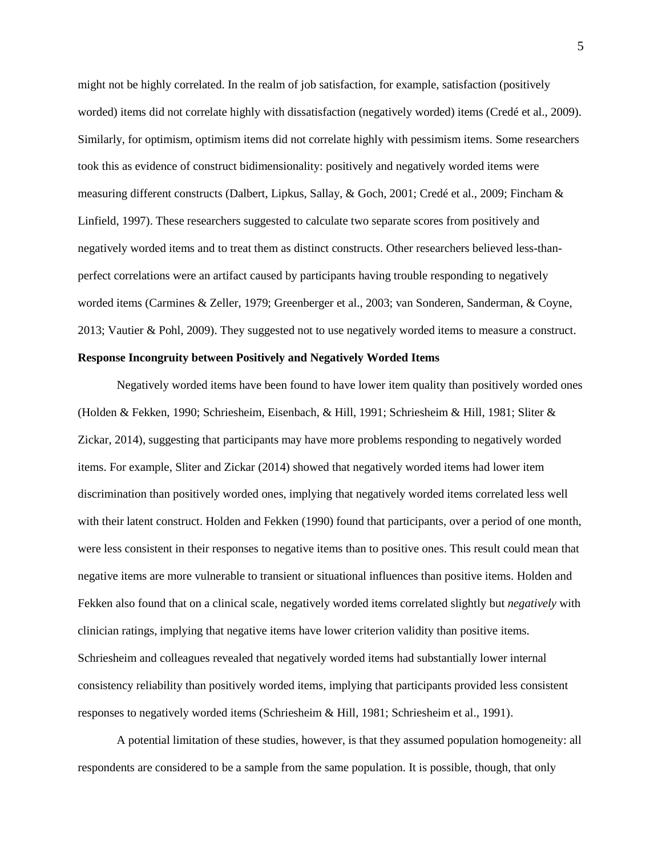might not be highly correlated. In the realm of job satisfaction, for example, satisfaction (positively worded) items did not correlate highly with dissatisfaction (negatively worded) items (Credé et al., 2009). Similarly, for optimism, optimism items did not correlate highly with pessimism items. Some researchers took this as evidence of construct bidimensionality: positively and negatively worded items were measuring different constructs (Dalbert, Lipkus, Sallay, & Goch, 2001; Credé et al., 2009; Fincham & Linfield, 1997). These researchers suggested to calculate two separate scores from positively and negatively worded items and to treat them as distinct constructs. Other researchers believed less-thanperfect correlations were an artifact caused by participants having trouble responding to negatively worded items (Carmines & Zeller, 1979; Greenberger et al., 2003; van Sonderen, Sanderman, & Coyne, 2013; Vautier & Pohl, 2009). They suggested not to use negatively worded items to measure a construct.

# **Response Incongruity between Positively and Negatively Worded Items**

Negatively worded items have been found to have lower item quality than positively worded ones (Holden & Fekken, 1990; Schriesheim, Eisenbach, & Hill, 1991; Schriesheim & Hill, 1981; Sliter & Zickar, 2014), suggesting that participants may have more problems responding to negatively worded items. For example, Sliter and Zickar (2014) showed that negatively worded items had lower item discrimination than positively worded ones, implying that negatively worded items correlated less well with their latent construct. Holden and Fekken (1990) found that participants, over a period of one month, were less consistent in their responses to negative items than to positive ones. This result could mean that negative items are more vulnerable to transient or situational influences than positive items. Holden and Fekken also found that on a clinical scale, negatively worded items correlated slightly but *negatively* with clinician ratings, implying that negative items have lower criterion validity than positive items. Schriesheim and colleagues revealed that negatively worded items had substantially lower internal consistency reliability than positively worded items, implying that participants provided less consistent responses to negatively worded items (Schriesheim & Hill, 1981; Schriesheim et al., 1991).

A potential limitation of these studies, however, is that they assumed population homogeneity: all respondents are considered to be a sample from the same population. It is possible, though, that only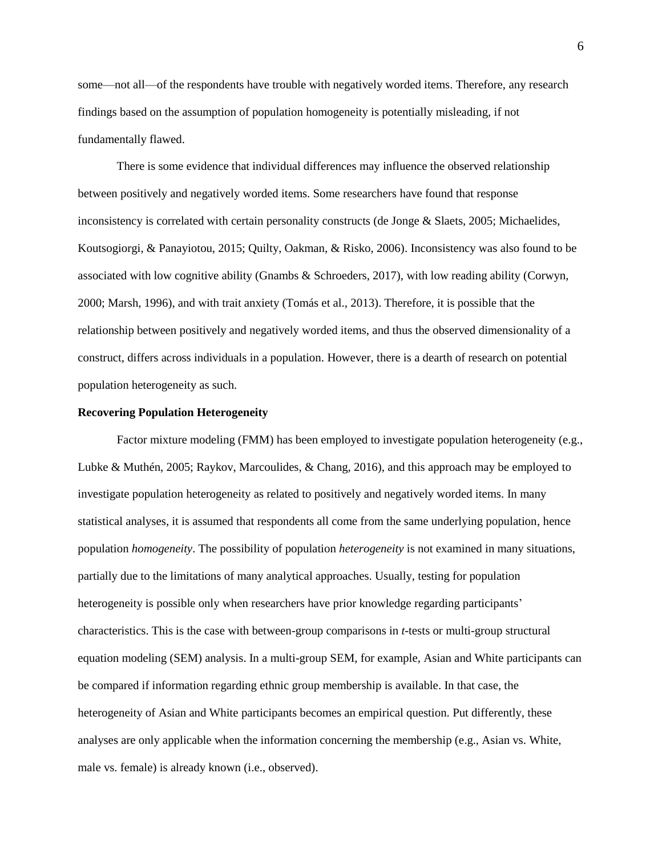some—not all—of the respondents have trouble with negatively worded items. Therefore, any research findings based on the assumption of population homogeneity is potentially misleading, if not fundamentally flawed.

There is some evidence that individual differences may influence the observed relationship between positively and negatively worded items. Some researchers have found that response inconsistency is correlated with certain personality constructs (de Jonge & Slaets, 2005; Michaelides, Koutsogiorgi, & Panayiotou, 2015; Quilty, Oakman, & Risko, 2006). Inconsistency was also found to be associated with low cognitive ability (Gnambs & Schroeders, 2017), with low reading ability (Corwyn, 2000; Marsh, 1996), and with trait anxiety (Tomás et al., 2013). Therefore, it is possible that the relationship between positively and negatively worded items, and thus the observed dimensionality of a construct, differs across individuals in a population. However, there is a dearth of research on potential population heterogeneity as such.

#### **Recovering Population Heterogeneity**

Factor mixture modeling (FMM) has been employed to investigate population heterogeneity (e.g., Lubke & Muthén, 2005; Raykov, Marcoulides, & Chang, 2016), and this approach may be employed to investigate population heterogeneity as related to positively and negatively worded items. In many statistical analyses, it is assumed that respondents all come from the same underlying population, hence population *homogeneity*. The possibility of population *heterogeneity* is not examined in many situations, partially due to the limitations of many analytical approaches. Usually, testing for population heterogeneity is possible only when researchers have prior knowledge regarding participants' characteristics. This is the case with between-group comparisons in *t*-tests or multi-group structural equation modeling (SEM) analysis. In a multi-group SEM, for example, Asian and White participants can be compared if information regarding ethnic group membership is available. In that case, the heterogeneity of Asian and White participants becomes an empirical question. Put differently, these analyses are only applicable when the information concerning the membership (e.g., Asian vs. White, male vs. female) is already known (i.e., observed).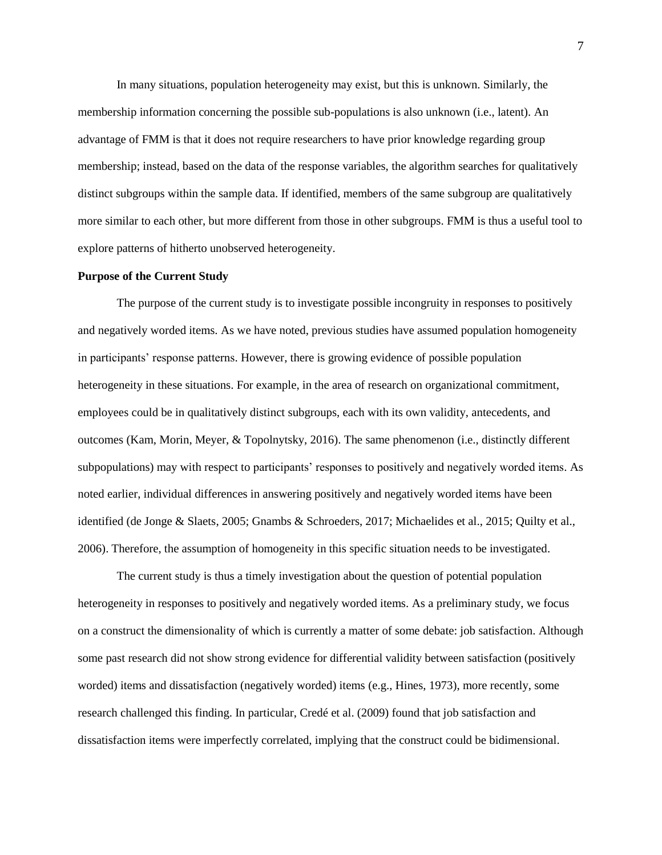In many situations, population heterogeneity may exist, but this is unknown. Similarly, the membership information concerning the possible sub-populations is also unknown (i.e., latent). An advantage of FMM is that it does not require researchers to have prior knowledge regarding group membership; instead, based on the data of the response variables, the algorithm searches for qualitatively distinct subgroups within the sample data. If identified, members of the same subgroup are qualitatively more similar to each other, but more different from those in other subgroups. FMM is thus a useful tool to explore patterns of hitherto unobserved heterogeneity.

#### **Purpose of the Current Study**

The purpose of the current study is to investigate possible incongruity in responses to positively and negatively worded items. As we have noted, previous studies have assumed population homogeneity in participants' response patterns. However, there is growing evidence of possible population heterogeneity in these situations. For example, in the area of research on organizational commitment, employees could be in qualitatively distinct subgroups, each with its own validity, antecedents, and outcomes (Kam, Morin, Meyer, & Topolnytsky, 2016). The same phenomenon (i.e., distinctly different subpopulations) may with respect to participants' responses to positively and negatively worded items. As noted earlier, individual differences in answering positively and negatively worded items have been identified (de Jonge & Slaets, 2005; Gnambs & Schroeders, 2017; Michaelides et al., 2015; Quilty et al., 2006). Therefore, the assumption of homogeneity in this specific situation needs to be investigated.

The current study is thus a timely investigation about the question of potential population heterogeneity in responses to positively and negatively worded items. As a preliminary study, we focus on a construct the dimensionality of which is currently a matter of some debate: job satisfaction. Although some past research did not show strong evidence for differential validity between satisfaction (positively worded) items and dissatisfaction (negatively worded) items (e.g., Hines, 1973), more recently, some research challenged this finding. In particular, Credé et al. (2009) found that job satisfaction and dissatisfaction items were imperfectly correlated, implying that the construct could be bidimensional.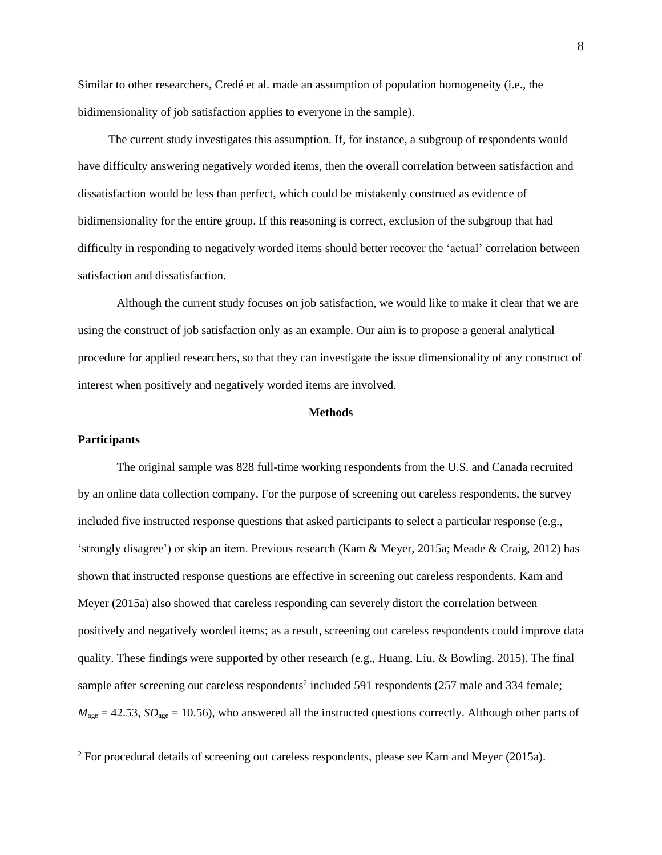Similar to other researchers, Credé et al. made an assumption of population homogeneity (i.e., the bidimensionality of job satisfaction applies to everyone in the sample).

The current study investigates this assumption. If, for instance, a subgroup of respondents would have difficulty answering negatively worded items, then the overall correlation between satisfaction and dissatisfaction would be less than perfect, which could be mistakenly construed as evidence of bidimensionality for the entire group. If this reasoning is correct, exclusion of the subgroup that had difficulty in responding to negatively worded items should better recover the 'actual' correlation between satisfaction and dissatisfaction.

Although the current study focuses on job satisfaction, we would like to make it clear that we are using the construct of job satisfaction only as an example. Our aim is to propose a general analytical procedure for applied researchers, so that they can investigate the issue dimensionality of any construct of interest when positively and negatively worded items are involved.

## **Methods**

## **Participants**

 $\overline{\phantom{a}}$ 

The original sample was 828 full-time working respondents from the U.S. and Canada recruited by an online data collection company. For the purpose of screening out careless respondents, the survey included five instructed response questions that asked participants to select a particular response (e.g., 'strongly disagree') or skip an item. Previous research (Kam & Meyer, 2015a; Meade & Craig, 2012) has shown that instructed response questions are effective in screening out careless respondents. Kam and Meyer (2015a) also showed that careless responding can severely distort the correlation between positively and negatively worded items; as a result, screening out careless respondents could improve data quality. These findings were supported by other research (e.g., Huang, Liu, & Bowling, 2015). The final sample after screening out careless respondents<sup>2</sup> included 591 respondents  $(257 \text{ male and } 334 \text{ female})$ ;  $M_{\text{age}} = 42.53$ ,  $SD_{\text{age}} = 10.56$ ), who answered all the instructed questions correctly. Although other parts of

<sup>&</sup>lt;sup>2</sup> For procedural details of screening out careless respondents, please see Kam and Meyer (2015a).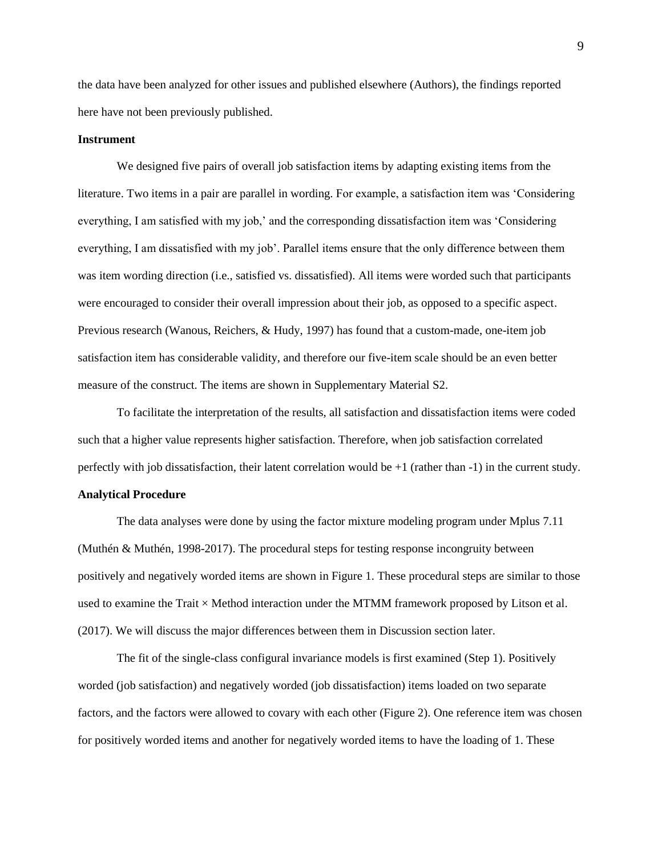the data have been analyzed for other issues and published elsewhere (Authors), the findings reported here have not been previously published.

### **Instrument**

We designed five pairs of overall job satisfaction items by adapting existing items from the literature. Two items in a pair are parallel in wording. For example, a satisfaction item was 'Considering everything, I am satisfied with my job,' and the corresponding dissatisfaction item was 'Considering everything, I am dissatisfied with my job'. Parallel items ensure that the only difference between them was item wording direction (i.e., satisfied vs. dissatisfied). All items were worded such that participants were encouraged to consider their overall impression about their job, as opposed to a specific aspect. Previous research (Wanous, Reichers, & Hudy, 1997) has found that a custom-made, one-item job satisfaction item has considerable validity, and therefore our five-item scale should be an even better measure of the construct. The items are shown in Supplementary Material S2.

To facilitate the interpretation of the results, all satisfaction and dissatisfaction items were coded such that a higher value represents higher satisfaction. Therefore, when job satisfaction correlated perfectly with job dissatisfaction, their latent correlation would be  $+1$  (rather than  $-1$ ) in the current study.

## **Analytical Procedure**

The data analyses were done by using the factor mixture modeling program under Mplus 7.11 (Muthén & Muthén, 1998-2017). The procedural steps for testing response incongruity between positively and negatively worded items are shown in Figure 1. These procedural steps are similar to those used to examine the Trait  $\times$  Method interaction under the MTMM framework proposed by Litson et al. (2017). We will discuss the major differences between them in Discussion section later.

The fit of the single-class configural invariance models is first examined (Step 1). Positively worded (job satisfaction) and negatively worded (job dissatisfaction) items loaded on two separate factors, and the factors were allowed to covary with each other (Figure 2). One reference item was chosen for positively worded items and another for negatively worded items to have the loading of 1. These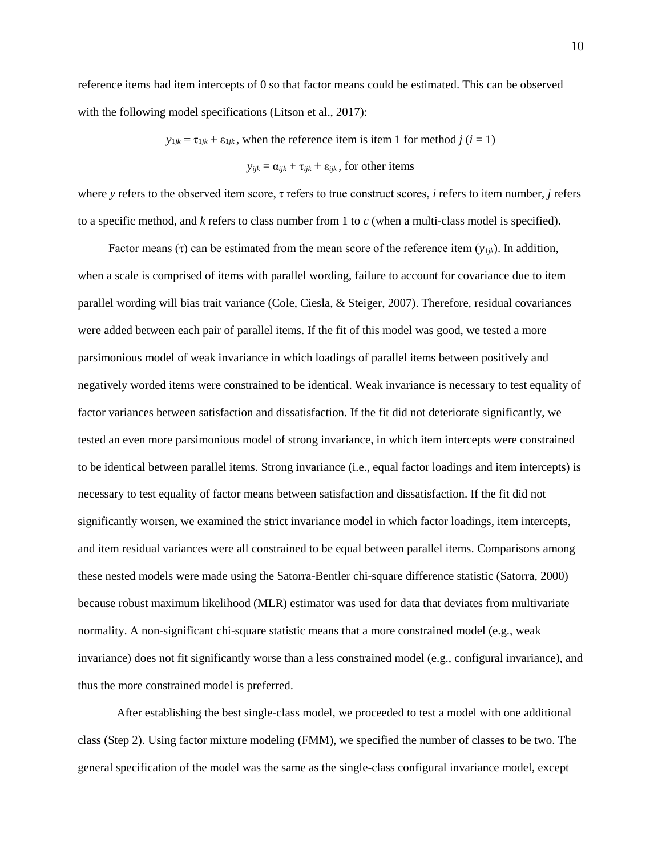reference items had item intercepts of 0 so that factor means could be estimated. This can be observed with the following model specifications (Litson et al., 2017):

 $y_{1jk} = \tau_{1jk} + \varepsilon_{1jk}$ , when the reference item is item 1 for method *j* (*i* = 1)

 $y_{ijk} = \alpha_{ijk} + \tau_{ijk} + \varepsilon_{ijk}$ , for other items

where *y* refers to the observed item score, τ refers to true construct scores, *i* refers to item number, *j* refers to a specific method, and *k* refers to class number from 1 to *c* (when a multi-class model is specified).

Factor means (τ) can be estimated from the mean score of the reference item  $(y_{1ik})$ . In addition, when a scale is comprised of items with parallel wording, failure to account for covariance due to item parallel wording will bias trait variance (Cole, Ciesla, & Steiger, 2007). Therefore, residual covariances were added between each pair of parallel items. If the fit of this model was good, we tested a more parsimonious model of weak invariance in which loadings of parallel items between positively and negatively worded items were constrained to be identical. Weak invariance is necessary to test equality of factor variances between satisfaction and dissatisfaction. If the fit did not deteriorate significantly, we tested an even more parsimonious model of strong invariance, in which item intercepts were constrained to be identical between parallel items. Strong invariance (i.e., equal factor loadings and item intercepts) is necessary to test equality of factor means between satisfaction and dissatisfaction. If the fit did not significantly worsen, we examined the strict invariance model in which factor loadings, item intercepts, and item residual variances were all constrained to be equal between parallel items. Comparisons among these nested models were made using the Satorra-Bentler chi-square difference statistic (Satorra, 2000) because robust maximum likelihood (MLR) estimator was used for data that deviates from multivariate normality. A non-significant chi-square statistic means that a more constrained model (e.g., weak invariance) does not fit significantly worse than a less constrained model (e.g., configural invariance), and thus the more constrained model is preferred.

After establishing the best single-class model, we proceeded to test a model with one additional class (Step 2). Using factor mixture modeling (FMM), we specified the number of classes to be two. The general specification of the model was the same as the single-class configural invariance model, except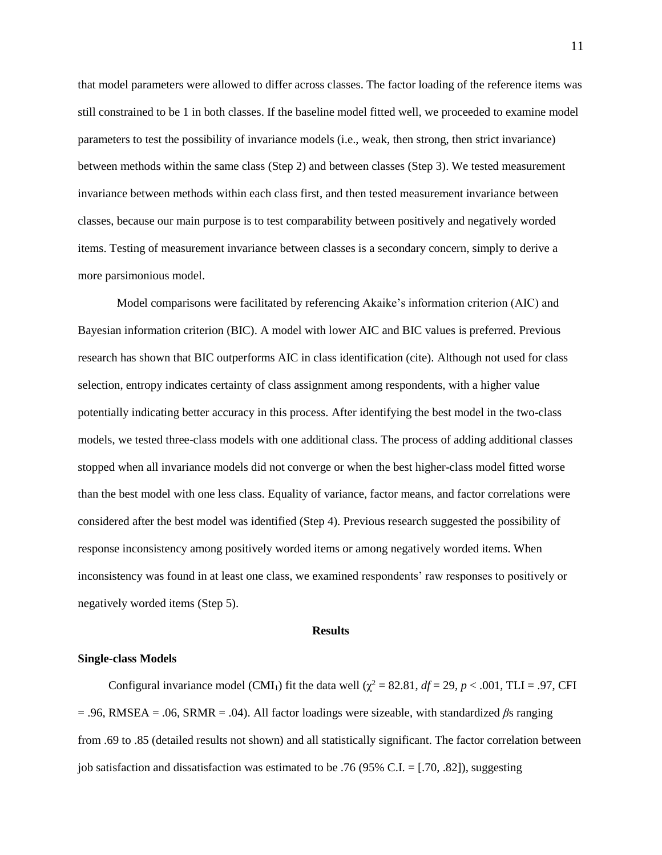that model parameters were allowed to differ across classes. The factor loading of the reference items was still constrained to be 1 in both classes. If the baseline model fitted well, we proceeded to examine model parameters to test the possibility of invariance models (i.e., weak, then strong, then strict invariance) between methods within the same class (Step 2) and between classes (Step 3). We tested measurement invariance between methods within each class first, and then tested measurement invariance between classes, because our main purpose is to test comparability between positively and negatively worded items. Testing of measurement invariance between classes is a secondary concern, simply to derive a more parsimonious model.

Model comparisons were facilitated by referencing Akaike's information criterion (AIC) and Bayesian information criterion (BIC). A model with lower AIC and BIC values is preferred. Previous research has shown that BIC outperforms AIC in class identification (cite). Although not used for class selection, entropy indicates certainty of class assignment among respondents, with a higher value potentially indicating better accuracy in this process. After identifying the best model in the two-class models, we tested three-class models with one additional class. The process of adding additional classes stopped when all invariance models did not converge or when the best higher-class model fitted worse than the best model with one less class. Equality of variance, factor means, and factor correlations were considered after the best model was identified (Step 4). Previous research suggested the possibility of response inconsistency among positively worded items or among negatively worded items. When inconsistency was found in at least one class, we examined respondents' raw responses to positively or negatively worded items (Step 5).

#### **Results**

#### **Single-class Models**

Configural invariance model (CMI<sub>1</sub>) fit the data well ( $\chi^2$  = 82.81, *df* = 29, *p* < .001, TLI = .97, CFI  $= .96$ , RMSEA = .06, SRMR = .04). All factor loadings were sizeable, with standardized  $\beta s$  ranging from .69 to .85 (detailed results not shown) and all statistically significant. The factor correlation between job satisfaction and dissatisfaction was estimated to be .76 (95% C.I.  $=$  [.70, .82]), suggesting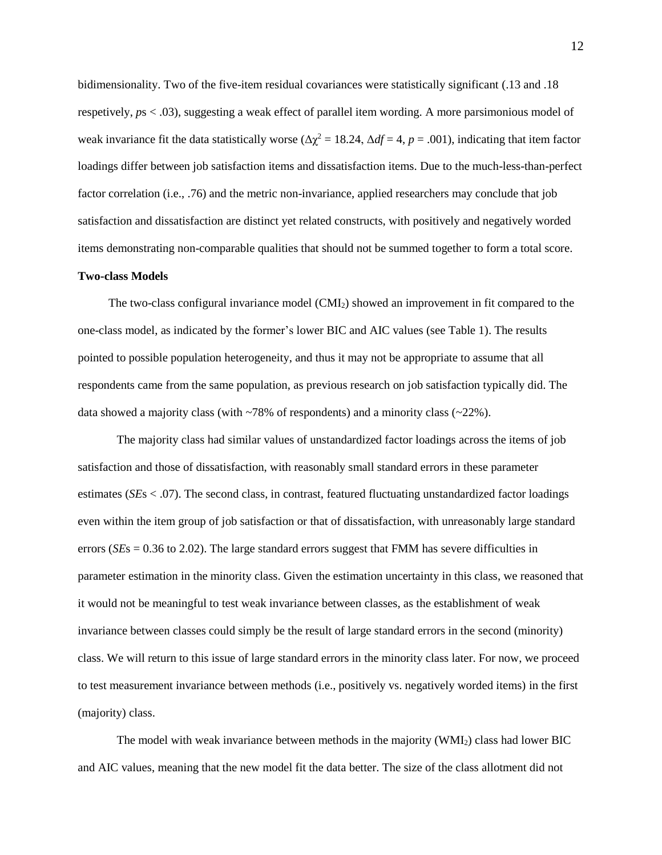bidimensionality. Two of the five-item residual covariances were statistically significant (.13 and .18 respetively, *p*s < .03), suggesting a weak effect of parallel item wording. A more parsimonious model of weak invariance fit the data statistically worse ( $\Delta \chi^2 = 18.24$ ,  $\Delta df = 4$ ,  $p = .001$ ), indicating that item factor loadings differ between job satisfaction items and dissatisfaction items. Due to the much-less-than-perfect factor correlation (i.e., .76) and the metric non-invariance, applied researchers may conclude that job satisfaction and dissatisfaction are distinct yet related constructs, with positively and negatively worded items demonstrating non-comparable qualities that should not be summed together to form a total score.

### **Two-class Models**

The two-class configural invariance model (CMI2) showed an improvement in fit compared to the one-class model, as indicated by the former's lower BIC and AIC values (see Table 1). The results pointed to possible population heterogeneity, and thus it may not be appropriate to assume that all respondents came from the same population, as previous research on job satisfaction typically did. The data showed a majority class (with  $\sim$ 78% of respondents) and a minority class ( $\sim$ 22%).

The majority class had similar values of unstandardized factor loadings across the items of job satisfaction and those of dissatisfaction, with reasonably small standard errors in these parameter estimates (*SE*s < .07). The second class, in contrast, featured fluctuating unstandardized factor loadings even within the item group of job satisfaction or that of dissatisfaction, with unreasonably large standard errors (*SE*s = 0.36 to 2.02). The large standard errors suggest that FMM has severe difficulties in parameter estimation in the minority class. Given the estimation uncertainty in this class, we reasoned that it would not be meaningful to test weak invariance between classes, as the establishment of weak invariance between classes could simply be the result of large standard errors in the second (minority) class. We will return to this issue of large standard errors in the minority class later. For now, we proceed to test measurement invariance between methods (i.e., positively vs. negatively worded items) in the first (majority) class.

The model with weak invariance between methods in the majority  $(WMI<sub>2</sub>)$  class had lower BIC and AIC values, meaning that the new model fit the data better. The size of the class allotment did not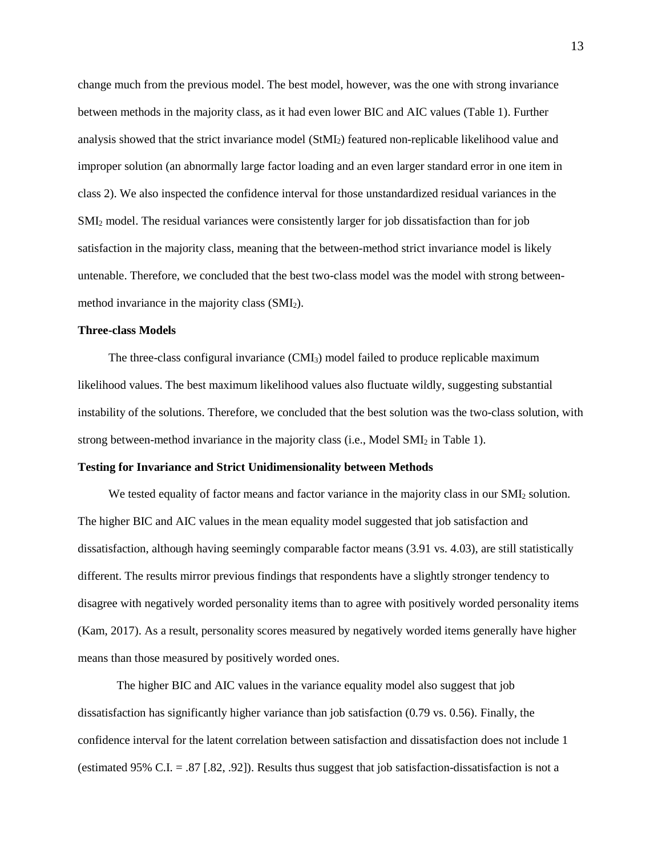change much from the previous model. The best model, however, was the one with strong invariance between methods in the majority class, as it had even lower BIC and AIC values (Table 1). Further analysis showed that the strict invariance model (StMI2) featured non-replicable likelihood value and improper solution (an abnormally large factor loading and an even larger standard error in one item in class 2). We also inspected the confidence interval for those unstandardized residual variances in the SMI<sup>2</sup> model. The residual variances were consistently larger for job dissatisfaction than for job satisfaction in the majority class, meaning that the between-method strict invariance model is likely untenable. Therefore, we concluded that the best two-class model was the model with strong betweenmethod invariance in the majority class (SMI2).

#### **Three-class Models**

The three-class configural invariance  $(CMI_3)$  model failed to produce replicable maximum likelihood values. The best maximum likelihood values also fluctuate wildly, suggesting substantial instability of the solutions. Therefore, we concluded that the best solution was the two-class solution, with strong between-method invariance in the majority class (i.e., Model SMI<sup>2</sup> in Table 1).

#### **Testing for Invariance and Strict Unidimensionality between Methods**

We tested equality of factor means and factor variance in the majority class in our SMI<sub>2</sub> solution. The higher BIC and AIC values in the mean equality model suggested that job satisfaction and dissatisfaction, although having seemingly comparable factor means (3.91 vs. 4.03), are still statistically different. The results mirror previous findings that respondents have a slightly stronger tendency to disagree with negatively worded personality items than to agree with positively worded personality items (Kam, 2017). As a result, personality scores measured by negatively worded items generally have higher means than those measured by positively worded ones.

The higher BIC and AIC values in the variance equality model also suggest that job dissatisfaction has significantly higher variance than job satisfaction (0.79 vs. 0.56). Finally, the confidence interval for the latent correlation between satisfaction and dissatisfaction does not include 1 (estimated 95% C.I. = .87 [.82, .92]). Results thus suggest that job satisfaction-dissatisfaction is not a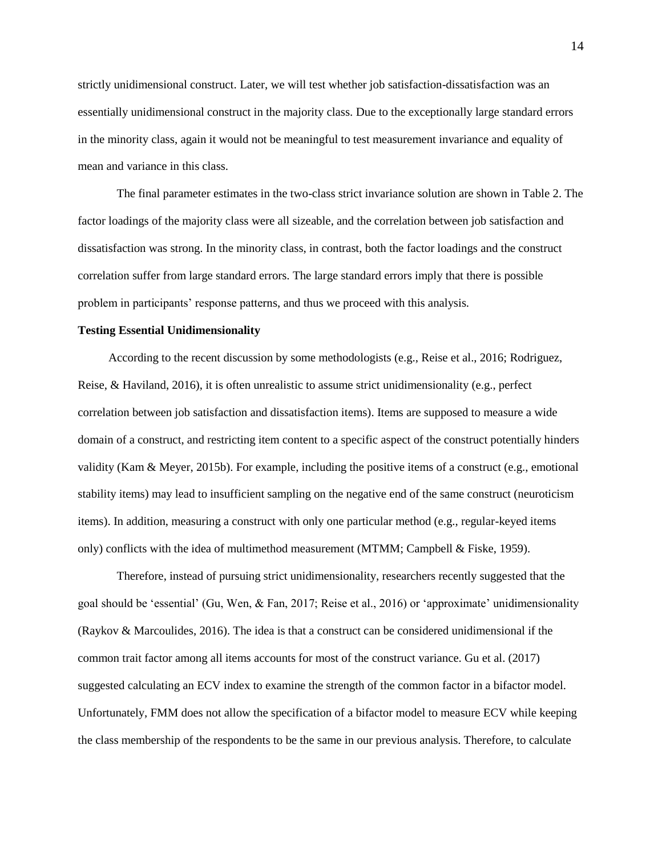strictly unidimensional construct. Later, we will test whether job satisfaction-dissatisfaction was an essentially unidimensional construct in the majority class. Due to the exceptionally large standard errors in the minority class, again it would not be meaningful to test measurement invariance and equality of mean and variance in this class.

The final parameter estimates in the two-class strict invariance solution are shown in Table 2. The factor loadings of the majority class were all sizeable, and the correlation between job satisfaction and dissatisfaction was strong. In the minority class, in contrast, both the factor loadings and the construct correlation suffer from large standard errors. The large standard errors imply that there is possible problem in participants' response patterns, and thus we proceed with this analysis.

#### **Testing Essential Unidimensionality**

According to the recent discussion by some methodologists (e.g., Reise et al., 2016; Rodriguez, Reise, & Haviland, 2016), it is often unrealistic to assume strict unidimensionality (e.g., perfect correlation between job satisfaction and dissatisfaction items). Items are supposed to measure a wide domain of a construct, and restricting item content to a specific aspect of the construct potentially hinders validity (Kam & Meyer, 2015b). For example, including the positive items of a construct (e.g., emotional stability items) may lead to insufficient sampling on the negative end of the same construct (neuroticism items). In addition, measuring a construct with only one particular method (e.g., regular-keyed items only) conflicts with the idea of multimethod measurement (MTMM; Campbell & Fiske, 1959).

Therefore, instead of pursuing strict unidimensionality, researchers recently suggested that the goal should be 'essential' (Gu, Wen, & Fan, 2017; Reise et al., 2016) or 'approximate' unidimensionality (Raykov & Marcoulides, 2016). The idea is that a construct can be considered unidimensional if the common trait factor among all items accounts for most of the construct variance. Gu et al. (2017) suggested calculating an ECV index to examine the strength of the common factor in a bifactor model. Unfortunately, FMM does not allow the specification of a bifactor model to measure ECV while keeping the class membership of the respondents to be the same in our previous analysis. Therefore, to calculate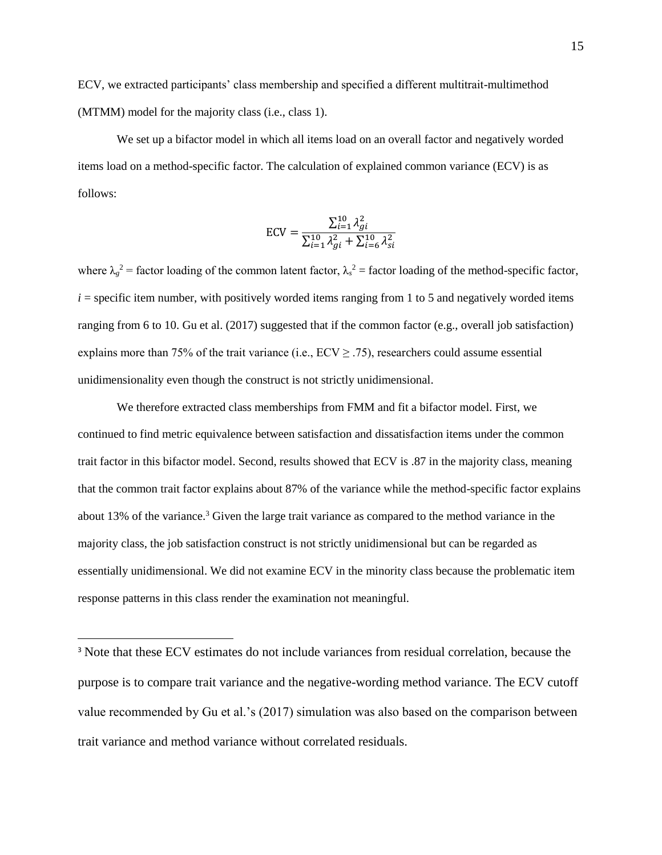ECV, we extracted participants' class membership and specified a different multitrait-multimethod (MTMM) model for the majority class (i.e., class 1).

We set up a bifactor model in which all items load on an overall factor and negatively worded items load on a method-specific factor. The calculation of explained common variance (ECV) is as follows:

$$
ECV = \frac{\sum_{i=1}^{10} \lambda_{gi}^2}{\sum_{i=1}^{10} \lambda_{gi}^2 + \sum_{i=6}^{10} \lambda_{si}^2}
$$

where  $\lambda_g^2$  = factor loading of the common latent factor,  $\lambda_s^2$  = factor loading of the method-specific factor,  $i =$  specific item number, with positively worded items ranging from 1 to 5 and negatively worded items ranging from 6 to 10. Gu et al. (2017) suggested that if the common factor (e.g., overall job satisfaction) explains more than 75% of the trait variance (i.e.,  $ECV \ge .75$ ), researchers could assume essential unidimensionality even though the construct is not strictly unidimensional.

We therefore extracted class memberships from FMM and fit a bifactor model. First, we continued to find metric equivalence between satisfaction and dissatisfaction items under the common trait factor in this bifactor model. Second, results showed that ECV is .87 in the majority class, meaning that the common trait factor explains about 87% of the variance while the method-specific factor explains about 13% of the variance.<sup>3</sup> Given the large trait variance as compared to the method variance in the majority class, the job satisfaction construct is not strictly unidimensional but can be regarded as essentially unidimensional. We did not examine ECV in the minority class because the problematic item response patterns in this class render the examination not meaningful.

l

<sup>&</sup>lt;sup>3</sup> Note that these ECV estimates do not include variances from residual correlation, because the purpose is to compare trait variance and the negative-wording method variance. The ECV cutoff value recommended by Gu et al.'s (2017) simulation was also based on the comparison between trait variance and method variance without correlated residuals.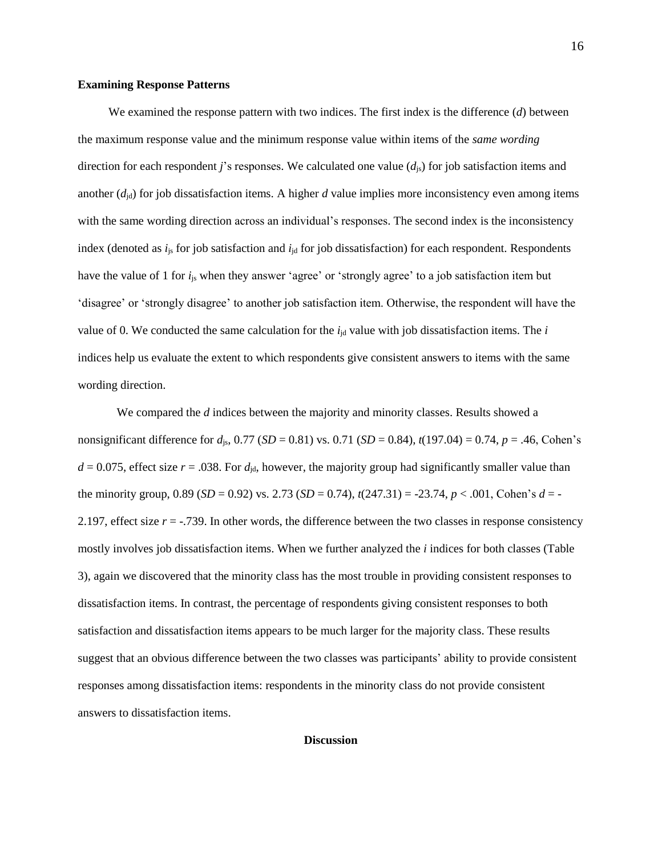#### **Examining Response Patterns**

We examined the response pattern with two indices. The first index is the difference (*d*) between the maximum response value and the minimum response value within items of the *same wording* direction for each respondent *j*'s responses. We calculated one value (*d*js) for job satisfaction items and another  $(d_{id})$  for job dissatisfaction items. A higher *d* value implies more inconsistency even among items with the same wording direction across an individual's responses. The second index is the inconsistency index (denoted as  $i<sub>is</sub>$  for job satisfaction and  $i<sub>id</sub>$  for job dissatisfaction) for each respondent. Respondents have the value of 1 for *i*js when they answer 'agree' or 'strongly agree' to a job satisfaction item but 'disagree' or 'strongly disagree' to another job satisfaction item. Otherwise, the respondent will have the value of 0. We conducted the same calculation for the  $i_{id}$  value with job dissatisfaction items. The  $i$ indices help us evaluate the extent to which respondents give consistent answers to items with the same wording direction.

We compared the *d* indices between the majority and minority classes. Results showed a nonsignificant difference for  $d_{\text{is}}$ , 0.77 (*SD* = 0.81) vs. 0.71 (*SD* = 0.84),  $t(197.04) = 0.74$ ,  $p = .46$ , Cohen's  $d = 0.075$ , effect size  $r = .038$ . For  $d_{id}$ , however, the majority group had significantly smaller value than the minority group,  $0.89$  (*SD* = 0.92) vs. 2.73 (*SD* = 0.74),  $t(247.31) = -23.74$ ,  $p < .001$ , Cohen's  $d = -$ 2.197, effect size *r* = -.739. In other words, the difference between the two classes in response consistency mostly involves job dissatisfaction items. When we further analyzed the *i* indices for both classes (Table 3), again we discovered that the minority class has the most trouble in providing consistent responses to dissatisfaction items. In contrast, the percentage of respondents giving consistent responses to both satisfaction and dissatisfaction items appears to be much larger for the majority class. These results suggest that an obvious difference between the two classes was participants' ability to provide consistent responses among dissatisfaction items: respondents in the minority class do not provide consistent answers to dissatisfaction items.

## **Discussion**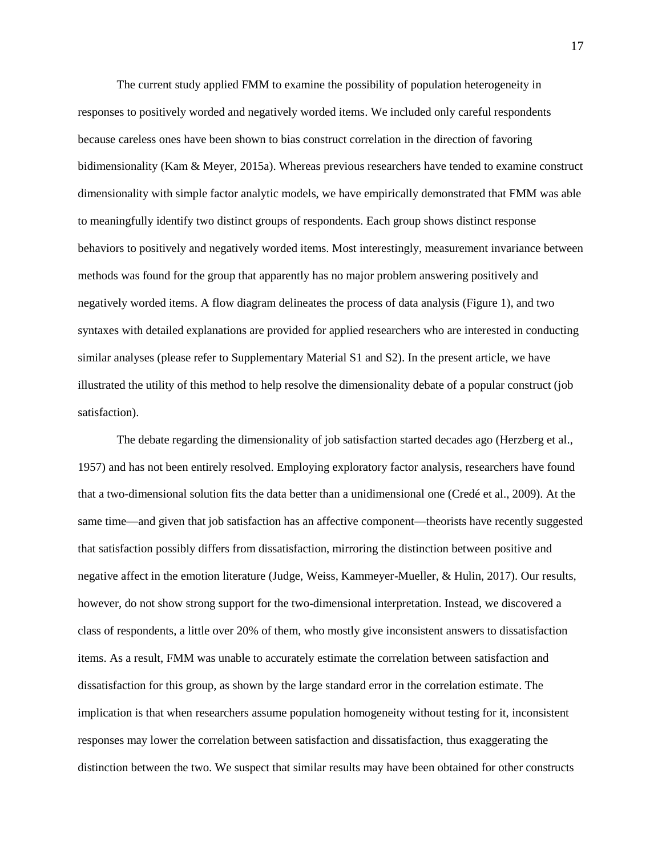The current study applied FMM to examine the possibility of population heterogeneity in responses to positively worded and negatively worded items. We included only careful respondents because careless ones have been shown to bias construct correlation in the direction of favoring bidimensionality (Kam & Meyer, 2015a). Whereas previous researchers have tended to examine construct dimensionality with simple factor analytic models, we have empirically demonstrated that FMM was able to meaningfully identify two distinct groups of respondents. Each group shows distinct response behaviors to positively and negatively worded items. Most interestingly, measurement invariance between methods was found for the group that apparently has no major problem answering positively and negatively worded items. A flow diagram delineates the process of data analysis (Figure 1), and two syntaxes with detailed explanations are provided for applied researchers who are interested in conducting similar analyses (please refer to Supplementary Material S1 and S2). In the present article, we have illustrated the utility of this method to help resolve the dimensionality debate of a popular construct (job satisfaction).

The debate regarding the dimensionality of job satisfaction started decades ago (Herzberg et al., 1957) and has not been entirely resolved. Employing exploratory factor analysis, researchers have found that a two-dimensional solution fits the data better than a unidimensional one (Credé et al., 2009). At the same time—and given that job satisfaction has an affective component—theorists have recently suggested that satisfaction possibly differs from dissatisfaction, mirroring the distinction between positive and negative affect in the emotion literature (Judge, Weiss, Kammeyer-Mueller, & Hulin, 2017). Our results, however, do not show strong support for the two-dimensional interpretation. Instead, we discovered a class of respondents, a little over 20% of them, who mostly give inconsistent answers to dissatisfaction items. As a result, FMM was unable to accurately estimate the correlation between satisfaction and dissatisfaction for this group, as shown by the large standard error in the correlation estimate. The implication is that when researchers assume population homogeneity without testing for it, inconsistent responses may lower the correlation between satisfaction and dissatisfaction, thus exaggerating the distinction between the two. We suspect that similar results may have been obtained for other constructs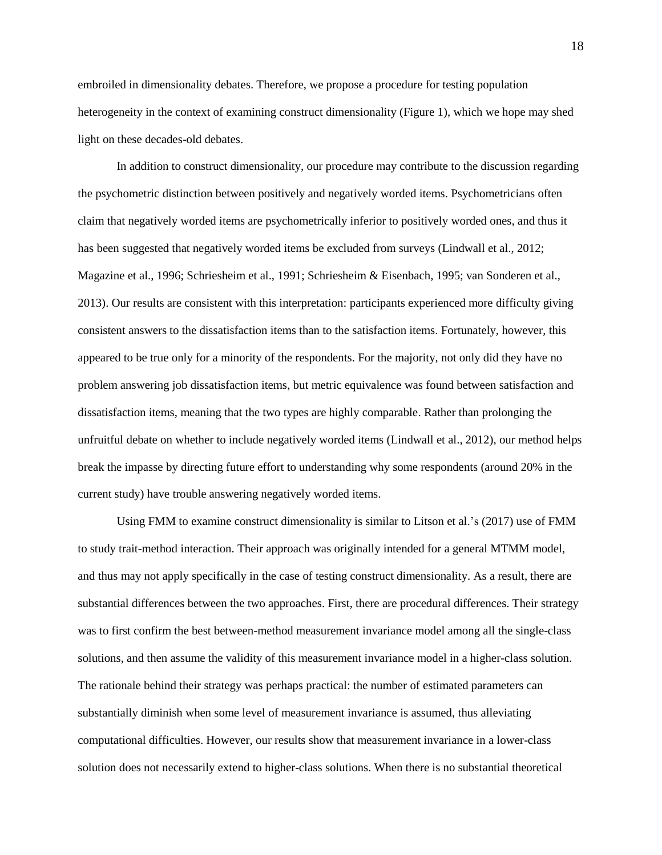embroiled in dimensionality debates. Therefore, we propose a procedure for testing population heterogeneity in the context of examining construct dimensionality (Figure 1), which we hope may shed light on these decades-old debates.

In addition to construct dimensionality, our procedure may contribute to the discussion regarding the psychometric distinction between positively and negatively worded items. Psychometricians often claim that negatively worded items are psychometrically inferior to positively worded ones, and thus it has been suggested that negatively worded items be excluded from surveys (Lindwall et al., 2012; Magazine et al., 1996; Schriesheim et al., 1991; Schriesheim & Eisenbach, 1995; van Sonderen et al., 2013). Our results are consistent with this interpretation: participants experienced more difficulty giving consistent answers to the dissatisfaction items than to the satisfaction items. Fortunately, however, this appeared to be true only for a minority of the respondents. For the majority, not only did they have no problem answering job dissatisfaction items, but metric equivalence was found between satisfaction and dissatisfaction items, meaning that the two types are highly comparable. Rather than prolonging the unfruitful debate on whether to include negatively worded items (Lindwall et al., 2012), our method helps break the impasse by directing future effort to understanding why some respondents (around 20% in the current study) have trouble answering negatively worded items.

Using FMM to examine construct dimensionality is similar to Litson et al.'s (2017) use of FMM to study trait-method interaction. Their approach was originally intended for a general MTMM model, and thus may not apply specifically in the case of testing construct dimensionality. As a result, there are substantial differences between the two approaches. First, there are procedural differences. Their strategy was to first confirm the best between-method measurement invariance model among all the single-class solutions, and then assume the validity of this measurement invariance model in a higher-class solution. The rationale behind their strategy was perhaps practical: the number of estimated parameters can substantially diminish when some level of measurement invariance is assumed, thus alleviating computational difficulties. However, our results show that measurement invariance in a lower-class solution does not necessarily extend to higher-class solutions. When there is no substantial theoretical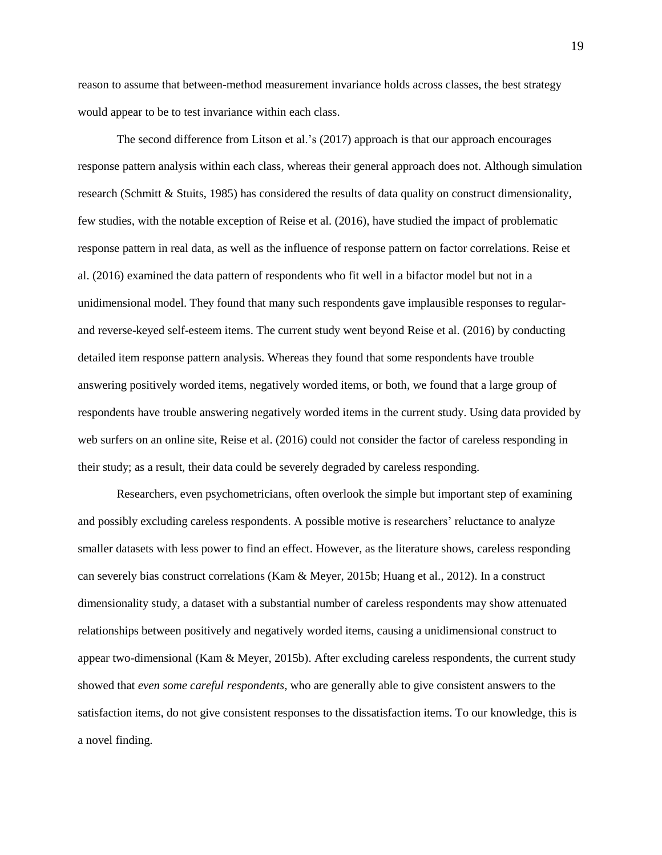reason to assume that between-method measurement invariance holds across classes, the best strategy would appear to be to test invariance within each class.

The second difference from Litson et al.'s (2017) approach is that our approach encourages response pattern analysis within each class, whereas their general approach does not. Although simulation research (Schmitt & Stuits, 1985) has considered the results of data quality on construct dimensionality, few studies, with the notable exception of Reise et al. (2016), have studied the impact of problematic response pattern in real data, as well as the influence of response pattern on factor correlations. Reise et al. (2016) examined the data pattern of respondents who fit well in a bifactor model but not in a unidimensional model. They found that many such respondents gave implausible responses to regularand reverse-keyed self-esteem items. The current study went beyond Reise et al. (2016) by conducting detailed item response pattern analysis. Whereas they found that some respondents have trouble answering positively worded items, negatively worded items, or both, we found that a large group of respondents have trouble answering negatively worded items in the current study. Using data provided by web surfers on an online site, Reise et al. (2016) could not consider the factor of careless responding in their study; as a result, their data could be severely degraded by careless responding.

Researchers, even psychometricians, often overlook the simple but important step of examining and possibly excluding careless respondents. A possible motive is researchers' reluctance to analyze smaller datasets with less power to find an effect. However, as the literature shows, careless responding can severely bias construct correlations (Kam & Meyer, 2015b; Huang et al., 2012). In a construct dimensionality study, a dataset with a substantial number of careless respondents may show attenuated relationships between positively and negatively worded items, causing a unidimensional construct to appear two-dimensional (Kam & Meyer, 2015b). After excluding careless respondents, the current study showed that *even some careful respondents*, who are generally able to give consistent answers to the satisfaction items, do not give consistent responses to the dissatisfaction items. To our knowledge, this is a novel finding.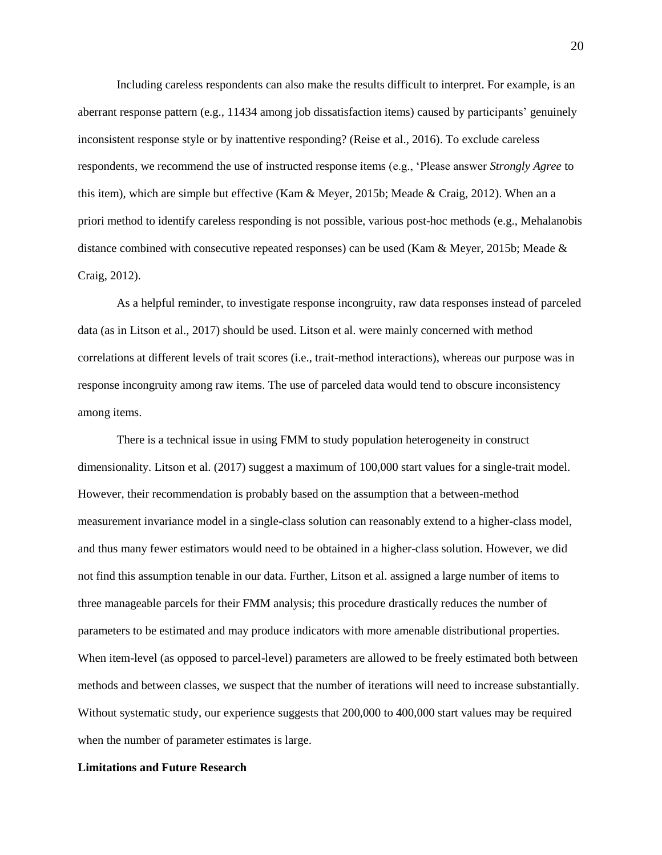Including careless respondents can also make the results difficult to interpret. For example, is an aberrant response pattern (e.g., 11434 among job dissatisfaction items) caused by participants' genuinely inconsistent response style or by inattentive responding? (Reise et al., 2016). To exclude careless respondents, we recommend the use of instructed response items (e.g., 'Please answer *Strongly Agree* to this item), which are simple but effective (Kam & Meyer, 2015b; Meade & Craig, 2012). When an a priori method to identify careless responding is not possible, various post-hoc methods (e.g., Mehalanobis distance combined with consecutive repeated responses) can be used (Kam & Meyer, 2015b; Meade & Craig, 2012).

As a helpful reminder, to investigate response incongruity, raw data responses instead of parceled data (as in Litson et al., 2017) should be used. Litson et al. were mainly concerned with method correlations at different levels of trait scores (i.e., trait-method interactions), whereas our purpose was in response incongruity among raw items. The use of parceled data would tend to obscure inconsistency among items.

There is a technical issue in using FMM to study population heterogeneity in construct dimensionality. Litson et al. (2017) suggest a maximum of 100,000 start values for a single-trait model. However, their recommendation is probably based on the assumption that a between-method measurement invariance model in a single-class solution can reasonably extend to a higher-class model, and thus many fewer estimators would need to be obtained in a higher-class solution. However, we did not find this assumption tenable in our data. Further, Litson et al. assigned a large number of items to three manageable parcels for their FMM analysis; this procedure drastically reduces the number of parameters to be estimated and may produce indicators with more amenable distributional properties. When item-level (as opposed to parcel-level) parameters are allowed to be freely estimated both between methods and between classes, we suspect that the number of iterations will need to increase substantially. Without systematic study, our experience suggests that 200,000 to 400,000 start values may be required when the number of parameter estimates is large.

## **Limitations and Future Research**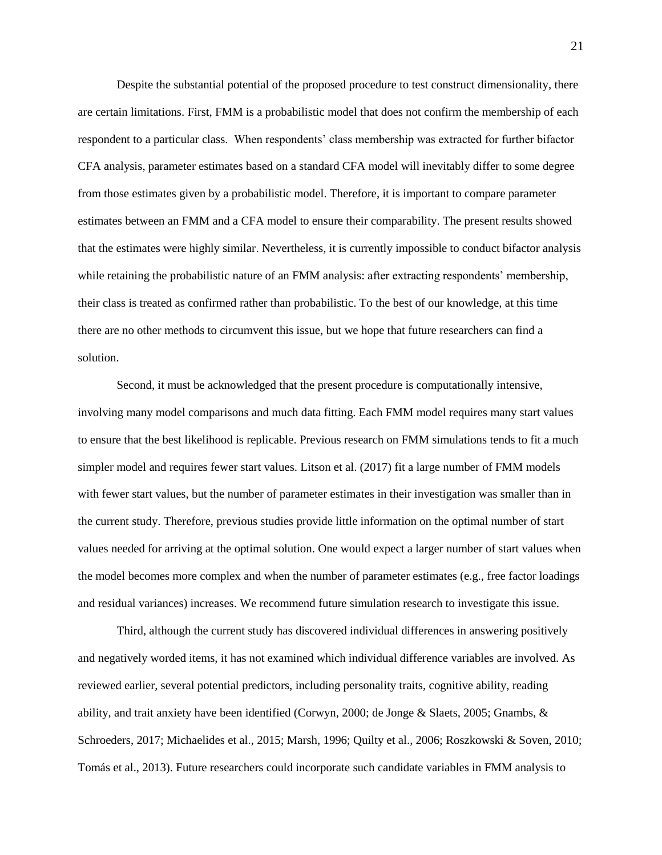Despite the substantial potential of the proposed procedure to test construct dimensionality, there are certain limitations. First, FMM is a probabilistic model that does not confirm the membership of each respondent to a particular class. When respondents' class membership was extracted for further bifactor CFA analysis, parameter estimates based on a standard CFA model will inevitably differ to some degree from those estimates given by a probabilistic model. Therefore, it is important to compare parameter estimates between an FMM and a CFA model to ensure their comparability. The present results showed that the estimates were highly similar. Nevertheless, it is currently impossible to conduct bifactor analysis while retaining the probabilistic nature of an FMM analysis: after extracting respondents' membership, their class is treated as confirmed rather than probabilistic. To the best of our knowledge, at this time there are no other methods to circumvent this issue, but we hope that future researchers can find a solution.

Second, it must be acknowledged that the present procedure is computationally intensive, involving many model comparisons and much data fitting. Each FMM model requires many start values to ensure that the best likelihood is replicable. Previous research on FMM simulations tends to fit a much simpler model and requires fewer start values. Litson et al. (2017) fit a large number of FMM models with fewer start values, but the number of parameter estimates in their investigation was smaller than in the current study. Therefore, previous studies provide little information on the optimal number of start values needed for arriving at the optimal solution. One would expect a larger number of start values when the model becomes more complex and when the number of parameter estimates (e.g., free factor loadings and residual variances) increases. We recommend future simulation research to investigate this issue.

Third, although the current study has discovered individual differences in answering positively and negatively worded items, it has not examined which individual difference variables are involved. As reviewed earlier, several potential predictors, including personality traits, cognitive ability, reading ability, and trait anxiety have been identified (Corwyn, 2000; de Jonge & Slaets, 2005; Gnambs, & Schroeders, 2017; Michaelides et al., 2015; Marsh, 1996; Quilty et al., 2006; Roszkowski & Soven, 2010; Tomás et al., 2013). Future researchers could incorporate such candidate variables in FMM analysis to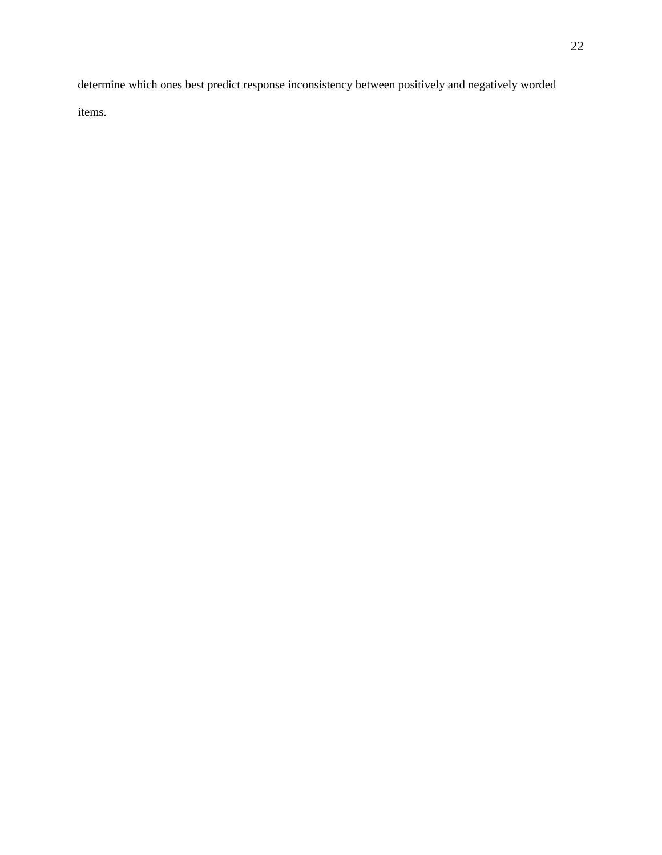determine which ones best predict response inconsistency between positively and negatively worded

items.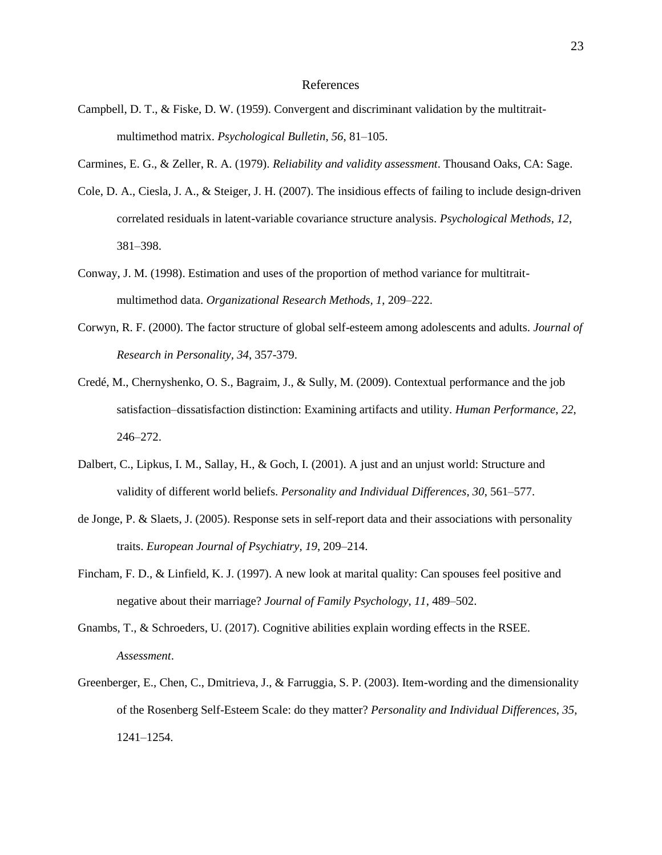#### References

- Campbell, D. T., & Fiske, D. W. (1959). Convergent and discriminant validation by the multitraitmultimethod matrix. *Psychological Bulletin*, *56*, 81–105.
- Carmines, E. G., & Zeller, R. A. (1979). *Reliability and validity assessment*. Thousand Oaks, CA: Sage.
- Cole, D. A., Ciesla, J. A., & Steiger, J. H. (2007). The insidious effects of failing to include design-driven correlated residuals in latent-variable covariance structure analysis. *Psychological Methods*, *12*, 381–398.
- Conway, J. M. (1998). Estimation and uses of the proportion of method variance for multitraitmultimethod data. *Organizational Research Methods, 1*, 209–222.
- Corwyn, R. F. (2000). The factor structure of global self-esteem among adolescents and adults. *Journal of Research in Personality, 34*, 357-379.
- Credé, M., Chernyshenko, O. S., Bagraim, J., & Sully, M. (2009). Contextual performance and the job satisfaction–dissatisfaction distinction: Examining artifacts and utility. *Human Performance*, *22*, 246–272.
- Dalbert, C., Lipkus, I. M., Sallay, H., & Goch, I. (2001). A just and an unjust world: Structure and validity of different world beliefs. *Personality and Individual Differences*, *30*, 561–577.
- de Jonge, P. & Slaets, J. (2005). Response sets in self-report data and their associations with personality traits. *European Journal of Psychiatry, 19*, 209–214.
- Fincham, F. D., & Linfield, K. J. (1997). A new look at marital quality: Can spouses feel positive and negative about their marriage? *Journal of Family Psychology*, *11*, 489–502.
- Gnambs, T., & Schroeders, U. (2017). Cognitive abilities explain wording effects in the RSEE. *Assessment*.
- Greenberger, E., Chen, C., Dmitrieva, J., & Farruggia, S. P. (2003). Item-wording and the dimensionality of the Rosenberg Self-Esteem Scale: do they matter? *Personality and Individual Differences*, *35*, 1241–1254.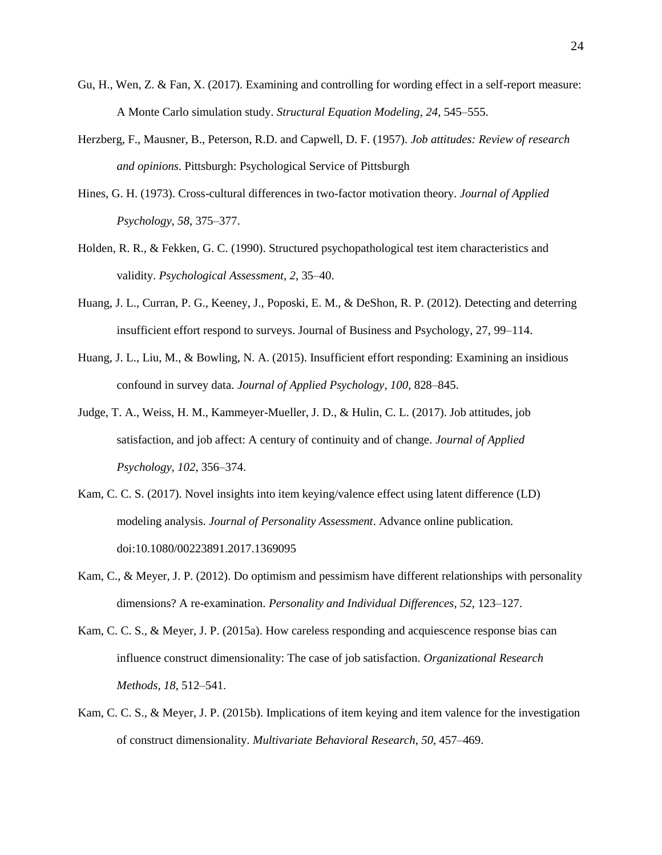- Gu, H., Wen, Z. & Fan, X. (2017). Examining and controlling for wording effect in a self-report measure: A Monte Carlo simulation study. *Structural Equation Modeling, 24*, 545–555.
- Herzberg, F., Mausner, B., Peterson, R.D. and Capwell, D. F. (1957). *Job attitudes: Review of research and opinions*. Pittsburgh: Psychological Service of Pittsburgh
- Hines, G. H. (1973). Cross-cultural differences in two-factor motivation theory. *Journal of Applied Psychology, 58*, 375–377.
- Holden, R. R., & Fekken, G. C. (1990). Structured psychopathological test item characteristics and validity. *Psychological Assessment*, *2*, 35–40.
- Huang, J. L., Curran, P. G., Keeney, J., Poposki, E. M., & DeShon, R. P. (2012). Detecting and deterring insufficient effort respond to surveys. Journal of Business and Psychology, 27, 99–114.
- Huang, J. L., Liu, M., & Bowling, N. A. (2015). Insufficient effort responding: Examining an insidious confound in survey data. *Journal of Applied Psychology*, *100*, 828–845.
- Judge, T. A., Weiss, H. M., Kammeyer-Mueller, J. D., & Hulin, C. L. (2017). Job attitudes, job satisfaction, and job affect: A century of continuity and of change. *Journal of Applied Psychology, 102*, 356–374.
- Kam, C. C. S. (2017). Novel insights into item keying/valence effect using latent difference (LD) modeling analysis. *Journal of Personality Assessment*. Advance online publication. doi:10.1080/00223891.2017.1369095
- Kam, C., & Meyer, J. P. (2012). Do optimism and pessimism have different relationships with personality dimensions? A re-examination. *Personality and Individual Differences*, *52*, 123–127.
- Kam, C. C. S., & Meyer, J. P. (2015a). How careless responding and acquiescence response bias can influence construct dimensionality: The case of job satisfaction. *Organizational Research Methods*, *18*, 512–541.
- Kam, C. C. S., & Meyer, J. P. (2015b). Implications of item keying and item valence for the investigation of construct dimensionality. *Multivariate Behavioral Research*, *50*, 457–469.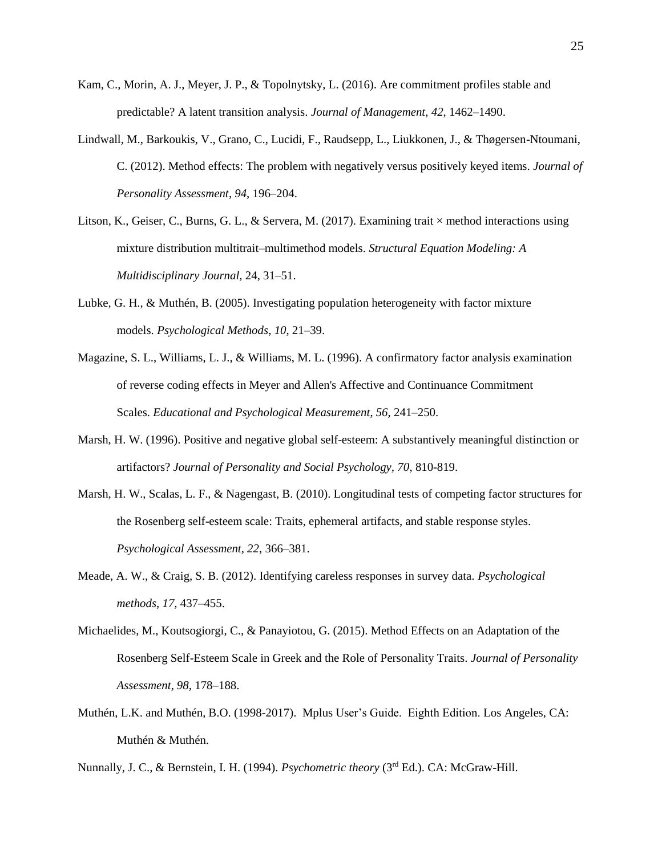- Kam, C., Morin, A. J., Meyer, J. P., & Topolnytsky, L. (2016). Are commitment profiles stable and predictable? A latent transition analysis. *Journal of Management*, *42*, 1462–1490.
- Lindwall, M., Barkoukis, V., Grano, C., Lucidi, F., Raudsepp, L., Liukkonen, J., & Thøgersen-Ntoumani, C. (2012). Method effects: The problem with negatively versus positively keyed items. *Journal of Personality Assessment*, *94*, 196–204.
- Litson, K., Geiser, C., Burns, G. L., & Servera, M. (2017). Examining trait  $\times$  method interactions using mixture distribution multitrait–multimethod models. *Structural Equation Modeling: A Multidisciplinary Journal,* 24, 31–51.
- Lubke, G. H., & Muthén, B. (2005). Investigating population heterogeneity with factor mixture models. *Psychological Methods*, *10*, 21–39.
- Magazine, S. L., Williams, L. J., & Williams, M. L. (1996). A confirmatory factor analysis examination of reverse coding effects in Meyer and Allen's Affective and Continuance Commitment Scales. *Educational and Psychological Measurement*, *56*, 241–250.
- Marsh, H. W. (1996). Positive and negative global self-esteem: A substantively meaningful distinction or artifactors? *Journal of Personality and Social Psychology, 70*, 810-819.
- Marsh, H. W., Scalas, L. F., & Nagengast, B. (2010). Longitudinal tests of competing factor structures for the Rosenberg self-esteem scale: Traits, ephemeral artifacts, and stable response styles. *Psychological Assessment, 22*, 366–381.
- Meade, A. W., & Craig, S. B. (2012). Identifying careless responses in survey data. *Psychological methods*, *17*, 437–455.
- Michaelides, M., Koutsogiorgi, C., & Panayiotou, G. (2015). Method Effects on an Adaptation of the Rosenberg Self-Esteem Scale in Greek and the Role of Personality Traits. *Journal of Personality Assessment, 98*, 178–188.
- Muthén, L.K. and Muthén, B.O. (1998-2017). Mplus User's Guide. Eighth Edition. Los Angeles, CA: Muthén & Muthén.

Nunnally, J. C., & Bernstein, I. H. (1994). *Psychometric theory* (3rd Ed.). CA: McGraw-Hill.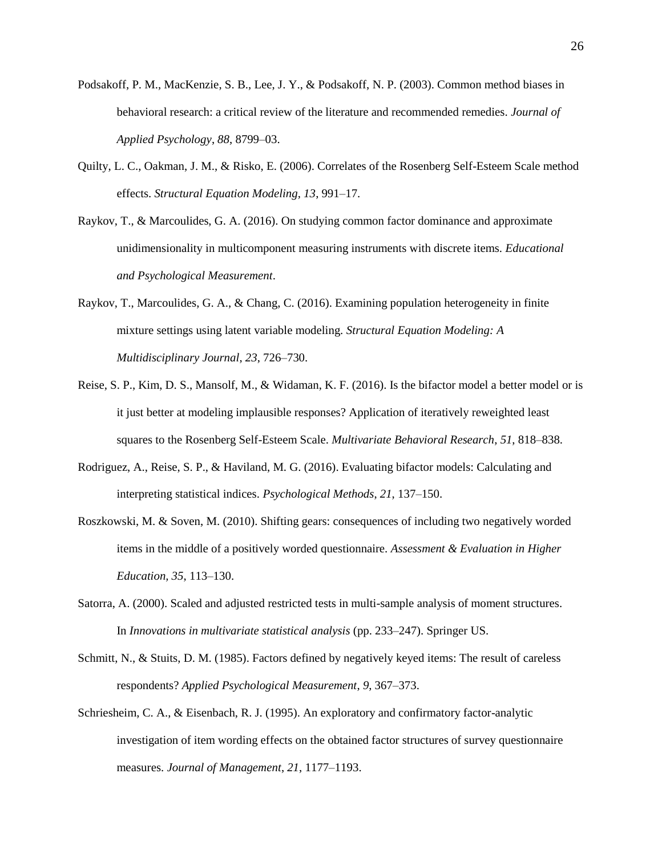- Podsakoff, P. M., MacKenzie, S. B., Lee, J. Y., & Podsakoff, N. P. (2003). Common method biases in behavioral research: a critical review of the literature and recommended remedies. *Journal of Applied Psychology*, *88*, 8799–03.
- Quilty, L. C., Oakman, J. M., & Risko, E. (2006). Correlates of the Rosenberg Self-Esteem Scale method effects. *Structural Equation Modeling, 13*, 991–17.
- Raykov, T., & Marcoulides, G. A. (2016). On studying common factor dominance and approximate unidimensionality in multicomponent measuring instruments with discrete items. *Educational and Psychological Measurement*.
- Raykov, T., Marcoulides, G. A., & Chang, C. (2016). Examining population heterogeneity in finite mixture settings using latent variable modeling. *Structural Equation Modeling: A Multidisciplinary Journal*, *23*, 726–730.
- Reise, S. P., Kim, D. S., Mansolf, M., & Widaman, K. F. (2016). Is the bifactor model a better model or is it just better at modeling implausible responses? Application of iteratively reweighted least squares to the Rosenberg Self-Esteem Scale. *Multivariate Behavioral Research*, *51*, 818–838.
- Rodriguez, A., Reise, S. P., & Haviland, M. G. (2016). Evaluating bifactor models: Calculating and interpreting statistical indices. *Psychological Methods*, *21*, 137–150.
- Roszkowski, M. & Soven, M. (2010). Shifting gears: consequences of including two negatively worded items in the middle of a positively worded questionnaire. *Assessment & Evaluation in Higher Education, 35*, 113–130.
- Satorra, A. (2000). Scaled and adjusted restricted tests in multi-sample analysis of moment structures. In *Innovations in multivariate statistical analysis* (pp. 233–247). Springer US.
- Schmitt, N., & Stuits, D. M. (1985). Factors defined by negatively keyed items: The result of careless respondents? *Applied Psychological Measurement*, *9*, 367–373.
- Schriesheim, C. A., & Eisenbach, R. J. (1995). An exploratory and confirmatory factor-analytic investigation of item wording effects on the obtained factor structures of survey questionnaire measures. *Journal of Management*, *21*, 1177–1193.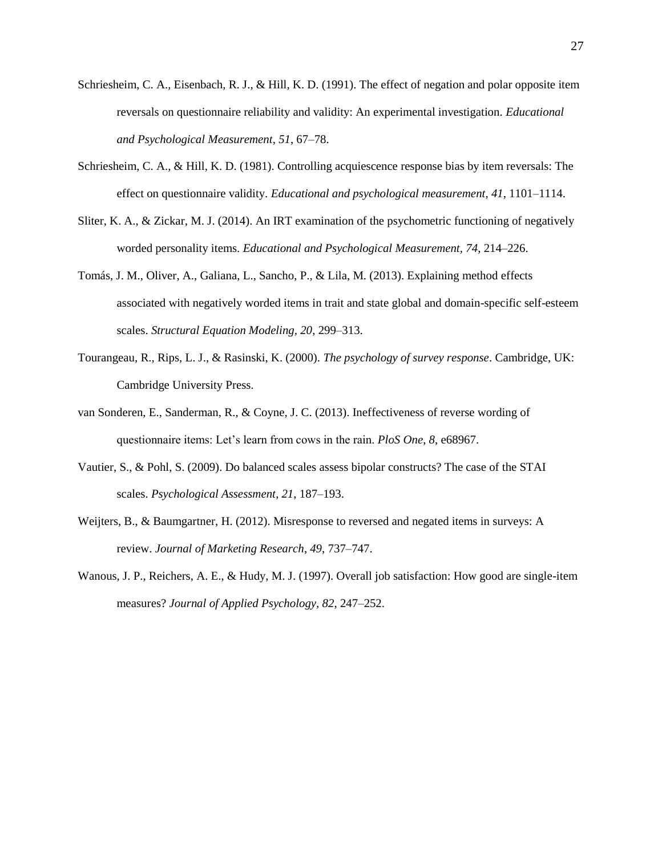- Schriesheim, C. A., Eisenbach, R. J., & Hill, K. D. (1991). The effect of negation and polar opposite item reversals on questionnaire reliability and validity: An experimental investigation. *Educational and Psychological Measurement*, *51*, 67–78.
- Schriesheim, C. A., & Hill, K. D. (1981). Controlling acquiescence response bias by item reversals: The effect on questionnaire validity. *Educational and psychological measurement*, *41*, 1101–1114.
- Sliter, K. A., & Zickar, M. J. (2014). An IRT examination of the psychometric functioning of negatively worded personality items. *Educational and Psychological Measurement, 74*, 214–226.
- Tomás, J. M., Oliver, A., Galiana, L., Sancho, P., & Lila, M. (2013). Explaining method effects associated with negatively worded items in trait and state global and domain-specific self-esteem scales. *Structural Equation Modeling, 20*, 299–313.
- Tourangeau, R., Rips, L. J., & Rasinski, K. (2000). *The psychology of survey response*. Cambridge, UK: Cambridge University Press.
- van Sonderen, E., Sanderman, R., & Coyne, J. C. (2013). Ineffectiveness of reverse wording of questionnaire items: Let's learn from cows in the rain. *PloS One*, *8*, e68967.
- Vautier, S., & Pohl, S. (2009). Do balanced scales assess bipolar constructs? The case of the STAI scales. *Psychological Assessment*, *21*, 187–193.
- Weijters, B., & Baumgartner, H. (2012). Misresponse to reversed and negated items in surveys: A review. *Journal of Marketing Research*, *49*, 737–747.
- Wanous, J. P., Reichers, A. E., & Hudy, M. J. (1997). Overall job satisfaction: How good are single-item measures? *Journal of Applied Psychology, 82*, 247–252.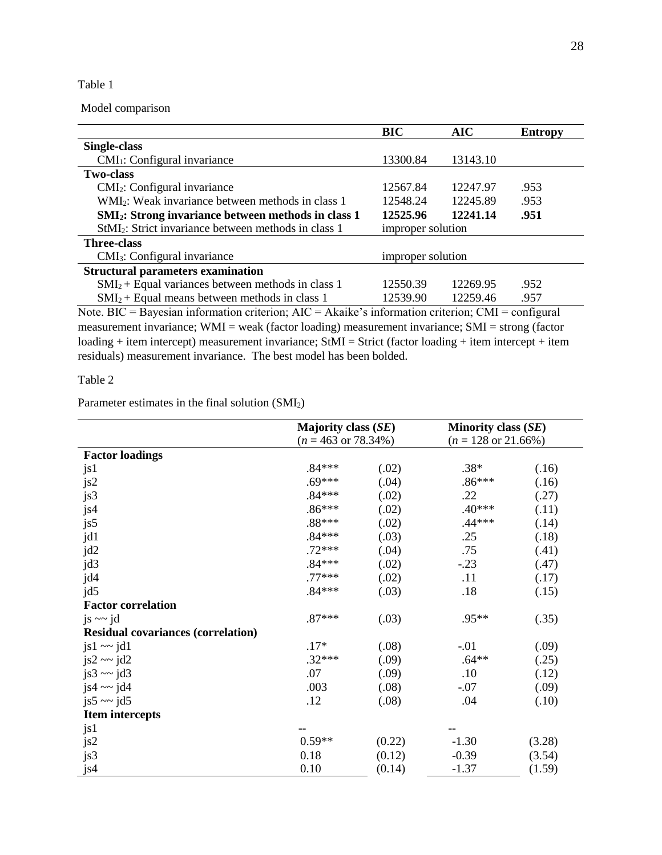## Table 1

Model comparison

|                                                                                                      | <b>BIC</b>        | <b>AIC</b>           | <b>Entropy</b> |  |
|------------------------------------------------------------------------------------------------------|-------------------|----------------------|----------------|--|
| Single-class                                                                                         |                   |                      |                |  |
| $CMI1:$ Configural invariance                                                                        | 13300.84          | 13143.10             |                |  |
| <b>Two-class</b>                                                                                     |                   |                      |                |  |
| CMI <sub>2</sub> : Configural invariance                                                             | 12567.84          | 12247.97             | .953           |  |
| WMI <sub>2</sub> : Weak invariance between methods in class 1                                        | 12548.24          | 12245.89             | .953           |  |
| <b>SMI<sub>2</sub>: Strong invariance between methods in class 1</b>                                 | 12525.96          | 12241.14             | .951           |  |
| StMI <sub>2</sub> : Strict invariance between methods in class 1                                     | improper solution |                      |                |  |
| <b>Three-class</b>                                                                                   |                   |                      |                |  |
| CMI <sub>3</sub> : Configural invariance                                                             | improper solution |                      |                |  |
| <b>Structural parameters examination</b>                                                             |                   |                      |                |  |
| $SMI_2$ + Equal variances between methods in class 1                                                 | 12550.39          | 12269.95             | .952           |  |
| $SMI_2$ + Equal means between methods in class 1                                                     | 12539.90          | 12259.46             | .957           |  |
| $\mathbf{M}$ and $\mathbf{D}$ is the state $\mathbf{M}$ in $\mathbf{M}$ is the state of $\mathbf{M}$ |                   | $\sim$ $\sim$ $\sim$ | $\sim$         |  |

Note. BIC = Bayesian information criterion; AIC = Akaike's information criterion; CMI = configural measurement invariance; WMI = weak (factor loading) measurement invariance; SMI = strong (factor loading + item intercept) measurement invariance; StMI = Strict (factor loading + item intercept + item residuals) measurement invariance. The best model has been bolded.

Table 2

Parameter estimates in the final solution (SMI2)

|                                           | <b>Majority class (SE)</b>      |        | <b>Minority class (SE)</b>      |        |
|-------------------------------------------|---------------------------------|--------|---------------------------------|--------|
|                                           | $(n = 463 \text{ or } 78.34\%)$ |        | $(n = 128 \text{ or } 21.66\%)$ |        |
| <b>Factor loadings</b>                    |                                 |        |                                 |        |
| js1                                       | $.84***$                        | (.02)  | $.38*$                          | (.16)  |
| js2                                       | $.69***$                        | (.04)  | $.86***$                        | (.16)  |
| js3                                       | $.84***$                        | (.02)  | .22                             | (.27)  |
| js4                                       | $.86***$                        | (.02)  | $.40***$                        | (.11)  |
| js5                                       | .88***                          | (.02)  | $.44***$                        | (.14)  |
| jd1                                       | $.84***$                        | (.03)  | .25                             | (.18)  |
| jd2                                       | $.72***$                        | (.04)  | .75                             | (.41)  |
| jd3                                       | $.84***$                        | (.02)  | $-.23$                          | (.47)  |
| jd4                                       | $.77***$                        | (.02)  | .11                             | (.17)  |
| jd5                                       | $.84***$                        | (.03)  | .18                             | (.15)  |
| <b>Factor correlation</b>                 |                                 |        |                                 |        |
| js $\sim$ jd                              | $.87***$                        | (.03)  | .95**                           | (.35)  |
| <b>Residual covariances (correlation)</b> |                                 |        |                                 |        |
| $js1 \sim$ $jd1$                          | $.17*$                          | (.08)  | $-.01$                          | (.09)  |
| $js2 \sim jd2$                            | $.32***$                        | (.09)  | $.64**$                         | (.25)  |
| js $3 \sim$ jd $3$                        | .07                             | (.09)  | .10                             | (.12)  |
| js4 $\sim$ jd4                            | .003                            | (.08)  | $-.07$                          | (.09)  |
| js5 $\sim$ jd5                            | .12                             | (.08)  | .04                             | (.10)  |
| <b>Item intercepts</b>                    |                                 |        |                                 |        |
| js1                                       |                                 |        |                                 |        |
| js2                                       | $0.59**$                        | (0.22) | $-1.30$                         | (3.28) |
| js3                                       | 0.18                            | (0.12) | $-0.39$                         | (3.54) |
| js4                                       | 0.10                            | (0.14) | $-1.37$                         | (1.59) |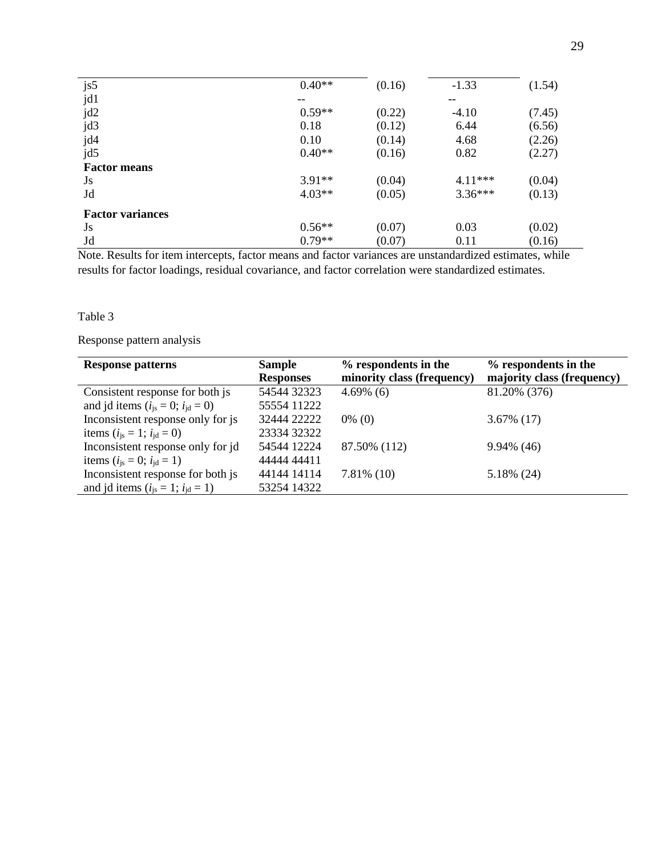| js5                     | $0.40**$ | (0.16) | $-1.33$   | (1.54) |
|-------------------------|----------|--------|-----------|--------|
| jd1                     | $- -$    |        | --        |        |
| jd2                     | $0.59**$ | (0.22) | $-4.10$   | (7.45) |
| jd3                     | 0.18     | (0.12) | 6.44      | (6.56) |
| jd4                     | 0.10     | (0.14) | 4.68      | (2.26) |
| jd5                     | $0.40**$ | (0.16) | 0.82      | (2.27) |
| <b>Factor means</b>     |          |        |           |        |
| Js                      | $3.91**$ | (0.04) | $4.11***$ | (0.04) |
| Jd                      | $4.03**$ | (0.05) | $3.36***$ | (0.13) |
| <b>Factor variances</b> |          |        |           |        |
| Js                      | $0.56**$ | (0.07) | 0.03      | (0.02) |
| Jd                      | $0.79**$ | (0.07) | 0.11      | (0.16) |

Note. Results for item intercepts, factor means and factor variances are unstandardized estimates, while results for factor loadings, residual covariance, and factor correlation were standardized estimates.

# Table 3

# Response pattern analysis

| <b>Response patterns</b>                     | <b>Sample</b>    | % respondents in the       | % respondents in the       |
|----------------------------------------------|------------------|----------------------------|----------------------------|
|                                              | <b>Responses</b> | minority class (frequency) | majority class (frequency) |
| Consistent response for both js              | 54544 32323      | $4.69\%$ (6)               | 81.20% (376)               |
| and jd items ( $i_{is} = 0$ ; $i_{id} = 0$ ) | 55554 11222      |                            |                            |
| Inconsistent response only for js            | 32444 22222      | $0\%$ (0)                  | $3.67\%$ (17)              |
| items ( $i_{is} = 1$ ; $i_{id} = 0$ )        | 23334 32322      |                            |                            |
| Inconsistent response only for jd            | 54544 12224      | 87.50% (112)               | $9.94\%$ (46)              |
| items ( $i_{is} = 0$ ; $i_{id} = 1$ )        | 44444 44411      |                            |                            |
| Inconsistent response for both js            | 44144 14114      | $7.81\%$ (10)              | 5.18% (24)                 |
| and jd items ( $i_{is} = 1$ ; $i_{id} = 1$ ) | 53254 14322      |                            |                            |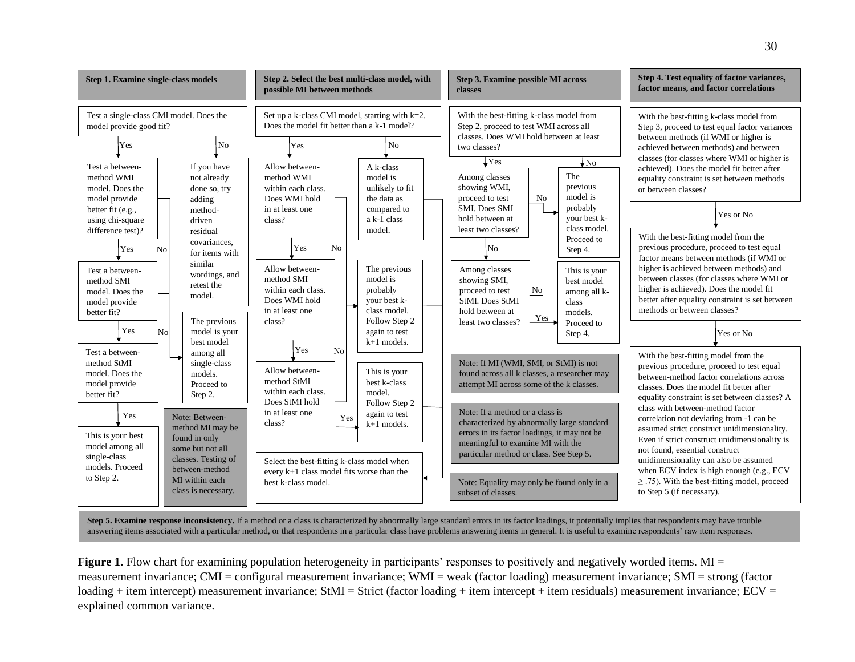

Step 5. Examine response inconsistency. If a method or a class is characterized by abnormally large standard errors in its factor loadings, it potentially implies that respondents may have trouble answering items associated with a particular method, or that respondents in a particular class have problems answering items in general. It is useful to examine respondents' raw item responses.

**Figure 1.** Flow chart for examining population heterogeneity in participants' responses to positively and negatively worded items. MI = measurement invariance; CMI = configural measurement invariance; WMI = weak (factor loading) measurement invariance; SMI = strong (factor loading + item intercept) measurement invariance; StMI = Strict (factor loading + item intercept + item residuals) measurement invariance;  $ECV =$ explained common variance.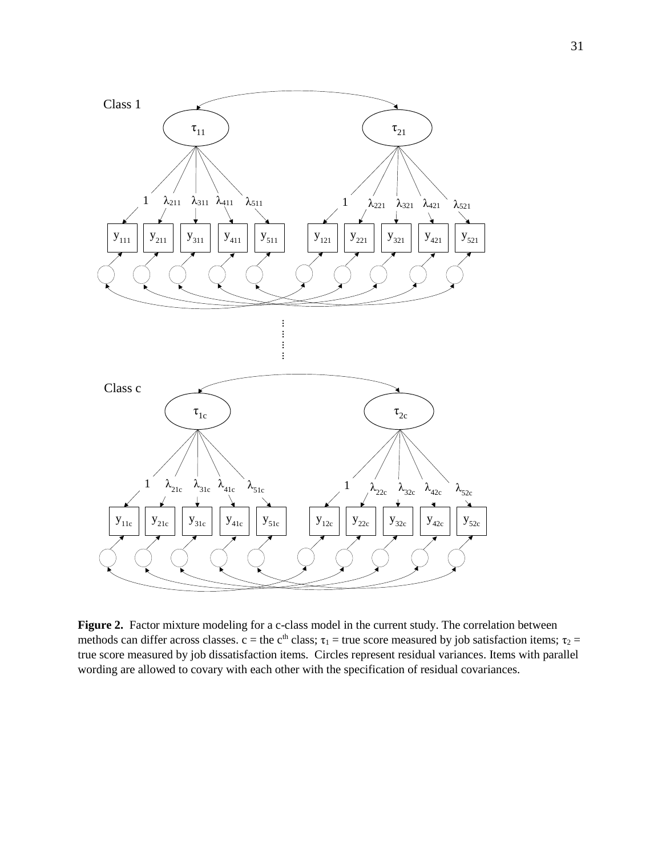

Figure 2. Factor mixture modeling for a c-class model in the current study. The correlation between methods can differ across classes. c = the c<sup>th</sup> class;  $\tau_1$  = true score measured by job satisfaction items;  $\tau_2$  = true score measured by job dissatisfaction items. Circles represent residual variances. Items with parallel wording are allowed to covary with each other with the specification of residual covariances.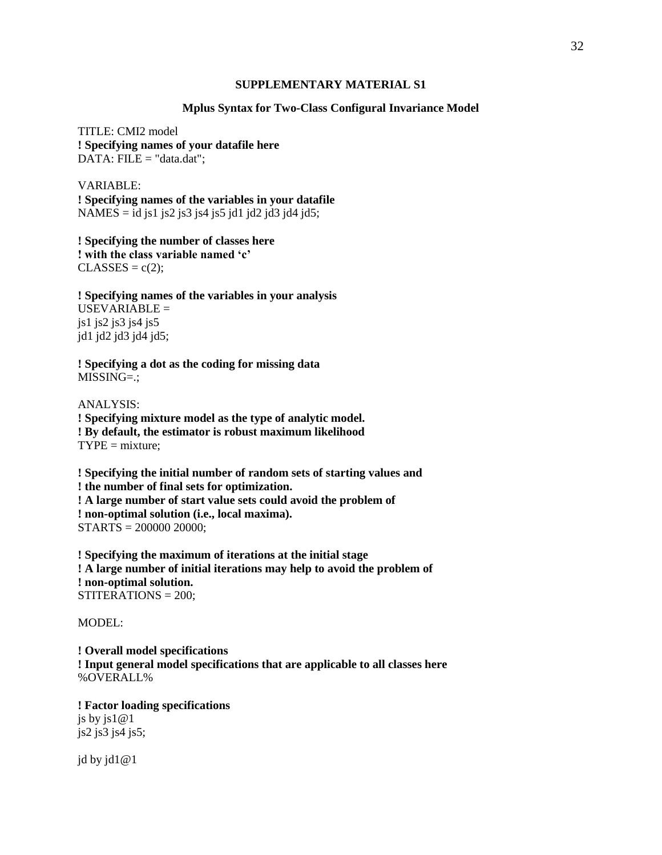#### **SUPPLEMENTARY MATERIAL S1**

## **Mplus Syntax for Two-Class Configural Invariance Model**

TITLE: CMI2 model **! Specifying names of your datafile here** DATA: FILE = "data.dat";

VARIABLE: **! Specifying names of the variables in your datafile** NAMES = id js1 js2 js3 js4 js5 jd1 jd2 jd3 jd4 jd5;

**! Specifying the number of classes here ! with the class variable named 'c'**  $CLASSES = c(2);$ 

**! Specifying names of the variables in your analysis**  $USEVARIABLE =$ js1 js2 js3 js4 js5 jd1 jd2 jd3 jd4 jd5;

**! Specifying a dot as the coding for missing data** MISSING=.;

ANALYSIS: **! Specifying mixture model as the type of analytic model. ! By default, the estimator is robust maximum likelihood**  $TYPE = mixture;$ 

**! Specifying the initial number of random sets of starting values and ! the number of final sets for optimization. ! A large number of start value sets could avoid the problem of ! non-optimal solution (i.e., local maxima).** STARTS = 200000 20000;

**! Specifying the maximum of iterations at the initial stage ! A large number of initial iterations may help to avoid the problem of ! non-optimal solution.** STITERATIONS = 200;

MODEL:

**! Overall model specifications ! Input general model specifications that are applicable to all classes here** %OVERALL%

**! Factor loading specifications** js by js1@1 js2 js3 js4 js5;

jd by jd1@1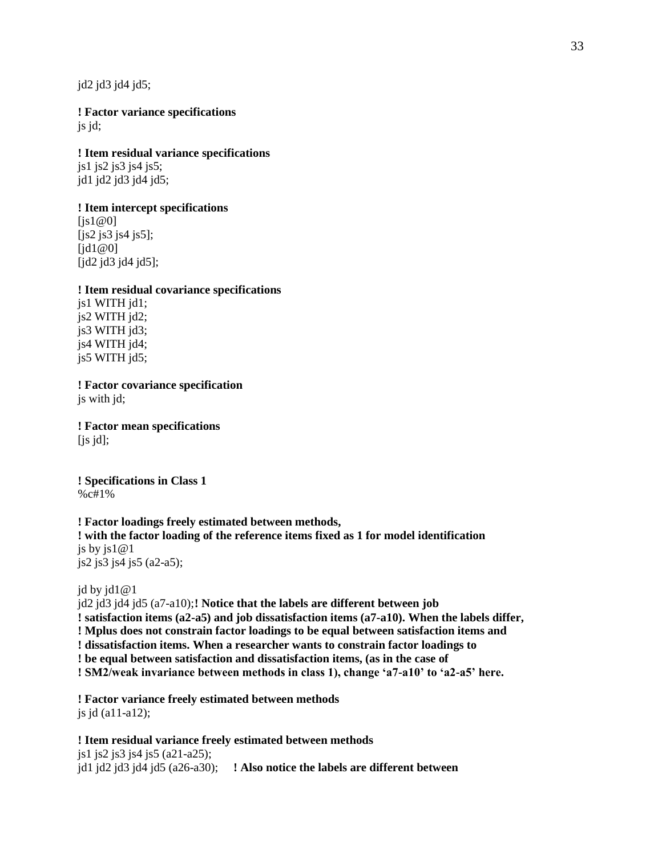jd2 jd3 jd4 jd5;

**! Factor variance specifications** js jd;

# **! Item residual variance specifications**

js1 js2 js3 js4 js5; jd1 jd2 jd3 jd4 jd5;

## **! Item intercept specifications**

 $[i s1@0]$ [js2 js3 js4 js5]; [jd1@0] [jd2 jd3 jd4 jd5];

#### **! Item residual covariance specifications**

js1 WITH jd1; js2 WITH jd2; js3 WITH jd3; js4 WITH jd4; js5 WITH jd5;

**! Factor covariance specification** js with jd;

**! Factor mean specifications**  $[$ js jd $]$ ;

**! Specifications in Class 1** %c#1%

# **! Factor loadings freely estimated between methods, ! with the factor loading of the reference items fixed as 1 for model identification** js by js $1@1$ js2 js3 js4 js5 (a2-a5);

jd by jd1@1

jd2 jd3 jd4 jd5 (a7-a10);**! Notice that the labels are different between job ! satisfaction items (a2-a5) and job dissatisfaction items (a7-a10). When the labels differ, ! Mplus does not constrain factor loadings to be equal between satisfaction items and ! dissatisfaction items. When a researcher wants to constrain factor loadings to ! be equal between satisfaction and dissatisfaction items, (as in the case of ! SM2/weak invariance between methods in class 1), change 'a7-a10' to 'a2-a5' here.** 

**! Factor variance freely estimated between methods** js jd (a11-a12);

**! Item residual variance freely estimated between methods** js1 js2 js3 js4 js5 (a21-a25); jd1 jd2 jd3 jd4 jd5 (a26-a30); **! Also notice the labels are different between**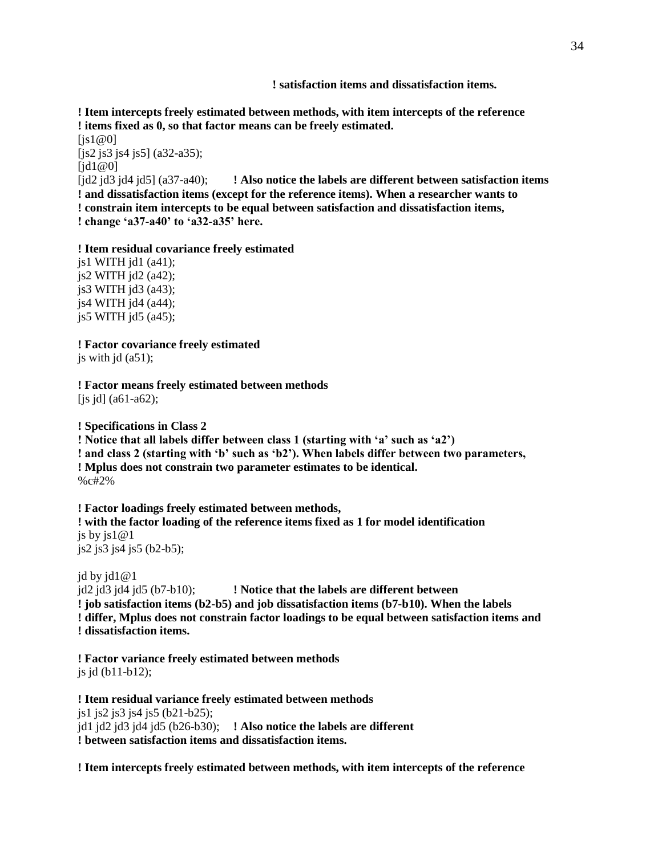**! satisfaction items and dissatisfaction items.**

**! Item intercepts freely estimated between methods, with item intercepts of the reference ! items fixed as 0, so that factor means can be freely estimated.**

 $[$ is1@0] [js2 js3 js4 js5] (a32-a35); [jd1@0]

[jd2 jd3 jd4 jd5] (a37-a40); **! Also notice the labels are different between satisfaction items ! and dissatisfaction items (except for the reference items). When a researcher wants to ! constrain item intercepts to be equal between satisfaction and dissatisfaction items, ! change 'a37-a40' to 'a32-a35' here.** 

**! Item residual covariance freely estimated**

 $jsl$  WITH  $jdl$  (a41);  $is2$  WITH  $id2$  ( $a42$ ); js3 WITH jd3 (a43); js4 WITH jd4 (a44); js5 WITH  $id5$  (a45);

**! Factor covariance freely estimated** js with  $id$  ( $a51$ );

**! Factor means freely estimated between methods**  $[i\sin(i\theta)]$  (a61-a62);

**! Specifications in Class 2 ! Notice that all labels differ between class 1 (starting with 'a' such as 'a2') ! and class 2 (starting with 'b' such as 'b2'). When labels differ between two parameters, ! Mplus does not constrain two parameter estimates to be identical.** %c#2%

**! Factor loadings freely estimated between methods, ! with the factor loading of the reference items fixed as 1 for model identification** js by js $1@1$ js2 js3 js4 js5 (b2-b5);

jd by jd1@1 jd2 jd3 jd4 jd5 (b7-b10); **! Notice that the labels are different between ! job satisfaction items (b2-b5) and job dissatisfaction items (b7-b10). When the labels ! differ, Mplus does not constrain factor loadings to be equal between satisfaction items and ! dissatisfaction items.**

**! Factor variance freely estimated between methods** js jd (b11-b12);

**! Item residual variance freely estimated between methods** js1 js2 js3 js4 js5 (b21-b25); jd1 jd2 jd3 jd4 jd5 (b26-b30); **! Also notice the labels are different ! between satisfaction items and dissatisfaction items.**

**! Item intercepts freely estimated between methods, with item intercepts of the reference**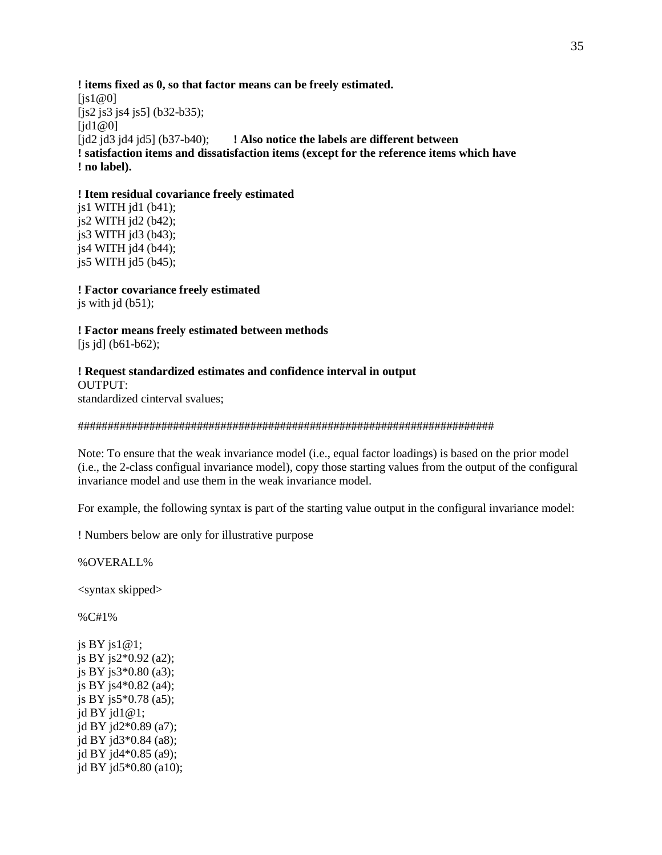**! items fixed as 0, so that factor means can be freely estimated.**  $[i s1@0]$ [js2 js3 js4 js5] (b32-b35);  $\text{fid}1@0\text{]}$ [jd2 jd3 jd4 jd5] (b37-b40); **! Also notice the labels are different between ! satisfaction items and dissatisfaction items (except for the reference items which have ! no label).**

#### **! Item residual covariance freely estimated**

js1 WITH jd1 (b41); js2 WITH jd2 (b42); js3 WITH jd3 (b43); js4 WITH jd4 (b44);  $i$ s5 WITH  $i$ d5 (b45);

**! Factor covariance freely estimated** js with  $id (b51)$ ;

**! Factor means freely estimated between methods** [js jd] (b61-b62);

**! Request standardized estimates and confidence interval in output** OUTPUT: standardized cinterval svalues;

#### ######################################################################

Note: To ensure that the weak invariance model (i.e., equal factor loadings) is based on the prior model (i.e., the 2-class configual invariance model), copy those starting values from the output of the configural invariance model and use them in the weak invariance model.

For example, the following syntax is part of the starting value output in the configural invariance model:

! Numbers below are only for illustrative purpose

%OVERALL%

<syntax skipped>

%C#1%

js BY js1@1; js BY js2\*0.92 (a2); js BY js3\*0.80 (a3); js BY js4\*0.82 (a4); js BY js5\*0.78 (a5); jd BY jd1@1; jd BY jd2\*0.89 (a7); jd BY jd3\*0.84 (a8); jd BY jd4\*0.85 (a9); jd BY jd5\*0.80 (a10);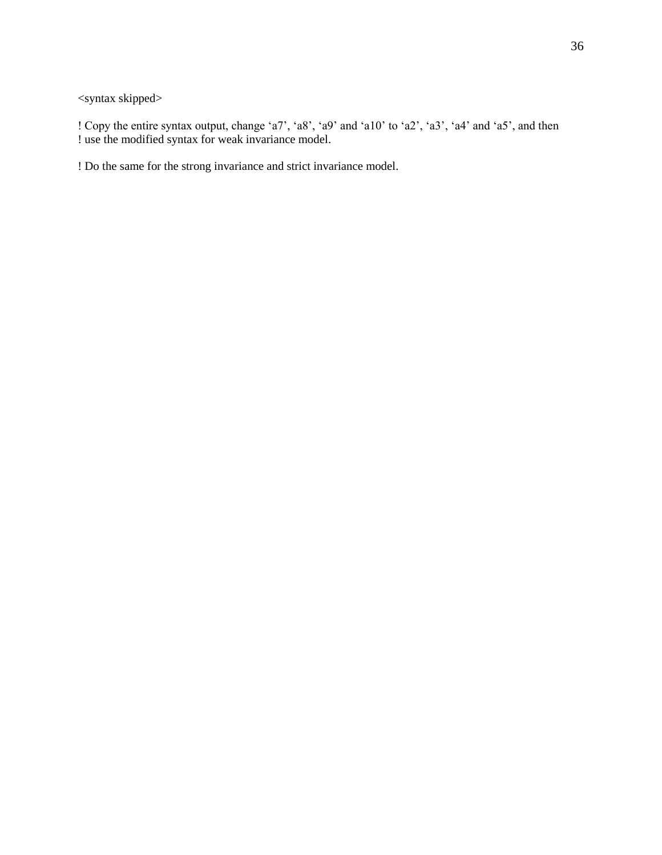<syntax skipped>

! Copy the entire syntax output, change 'a7', 'a8', 'a9' and 'a10' to 'a2', 'a3', 'a4' and 'a5', and then ! use the modified syntax for weak invariance model.

! Do the same for the strong invariance and strict invariance model.